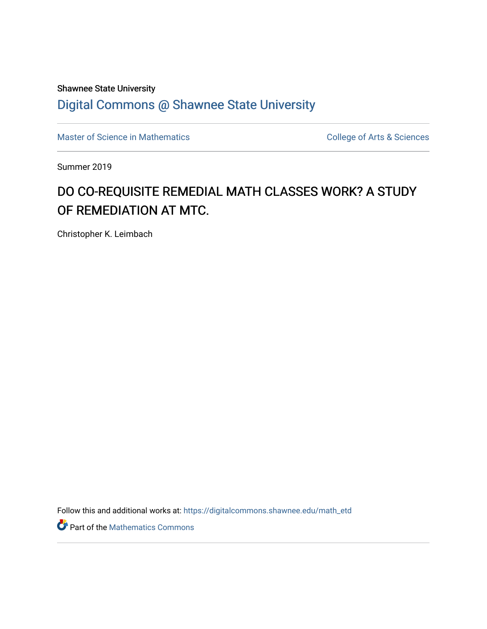# Shawnee State University

# [Digital Commons @ Shawnee State University](https://digitalcommons.shawnee.edu/)

[Master of Science in Mathematics](https://digitalcommons.shawnee.edu/math_etd) **College of Arts & Sciences** College of Arts & Sciences

Summer 2019

# DO CO-REQUISITE REMEDIAL MATH CLASSES WORK? A STUDY OF REMEDIATION AT MTC.

Christopher K. Leimbach

Follow this and additional works at: [https://digitalcommons.shawnee.edu/math\\_etd](https://digitalcommons.shawnee.edu/math_etd?utm_source=digitalcommons.shawnee.edu%2Fmath_etd%2F15&utm_medium=PDF&utm_campaign=PDFCoverPages) 

**P** Part of the [Mathematics Commons](https://network.bepress.com/hgg/discipline/174?utm_source=digitalcommons.shawnee.edu%2Fmath_etd%2F15&utm_medium=PDF&utm_campaign=PDFCoverPages)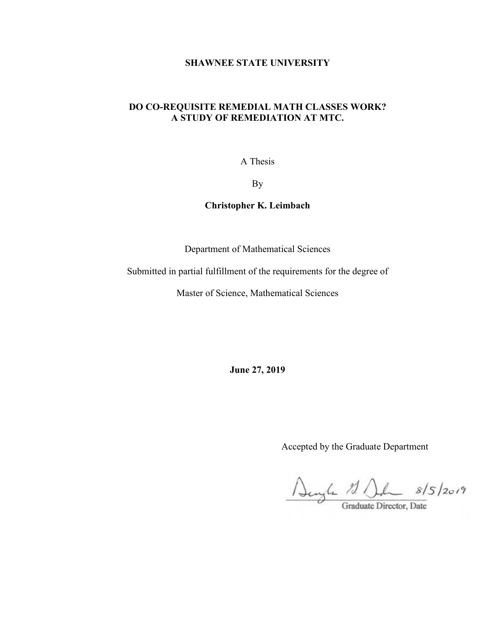# **SHAWNEE STATE UNIVERSITY**

# **DO CO-REQUISITE REMEDIAL MATH CLASSES WORK? A STUDY OF REMEDIATION AT MTC.**

A Thesis

By

**Christopher K. Leimbach**

Department of Mathematical Sciences

Submitted in partial fulfillment of the requirements for the degree of

Master of Science, Mathematical Sciences

**June 27, 2019**

Accepted by the Graduate Department

Denyle 11 Del 8/5/2019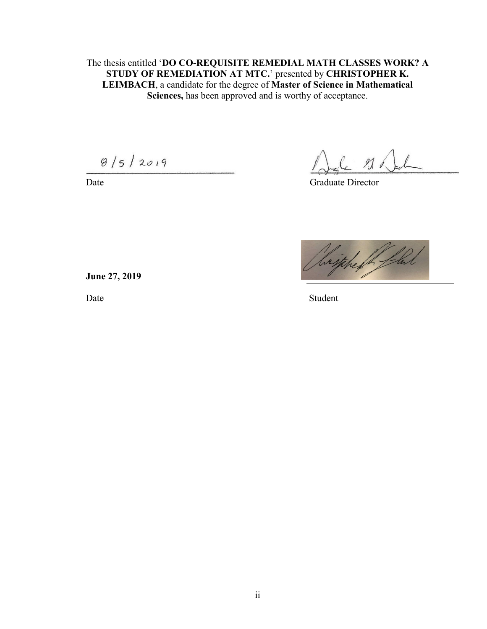The thesis entitled '**DO CO-REQUISITE REMEDIAL MATH CLASSES WORK? A STUDY OF REMEDIATION AT MTC.**' presented by **CHRISTOPHER K. LEIMBACH**, a candidate for the degree of **Master of Science in Mathematical Sciences,** has been approved and is worthy of acceptance.

 $8/5/2019$ 

 $210$ 

Date Graduate Director



**June 27, 2019** 

Date Student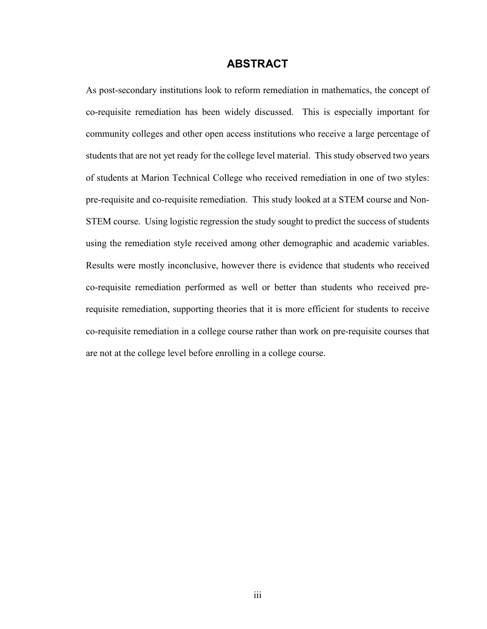# **ABSTRACT**

<span id="page-3-0"></span>As post-secondary institutions look to reform remediation in mathematics, the concept of co-requisite remediation has been widely discussed. This is especially important for community colleges and other open access institutions who receive a large percentage of students that are not yet ready for the college level material. This study observed two years of students at Marion Technical College who received remediation in one of two styles: pre-requisite and co-requisite remediation. This study looked at a STEM course and Non-STEM course. Using logistic regression the study sought to predict the success of students using the remediation style received among other demographic and academic variables. Results were mostly inconclusive, however there is evidence that students who received co-requisite remediation performed as well or better than students who received prerequisite remediation, supporting theories that it is more efficient for students to receive co-requisite remediation in a college course rather than work on pre-requisite courses that are not at the college level before enrolling in a college course.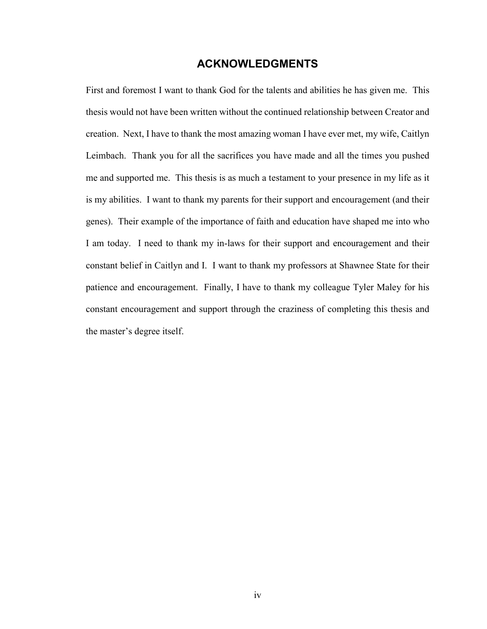# **ACKNOWLEDGMENTS**

<span id="page-4-0"></span>First and foremost I want to thank God for the talents and abilities he has given me. This thesis would not have been written without the continued relationship between Creator and creation. Next, I have to thank the most amazing woman I have ever met, my wife, Caitlyn Leimbach. Thank you for all the sacrifices you have made and all the times you pushed me and supported me. This thesis is as much a testament to your presence in my life as it is my abilities. I want to thank my parents for their support and encouragement (and their genes). Their example of the importance of faith and education have shaped me into who I am today. I need to thank my in-laws for their support and encouragement and their constant belief in Caitlyn and I. I want to thank my professors at Shawnee State for their patience and encouragement. Finally, I have to thank my colleague Tyler Maley for his constant encouragement and support through the craziness of completing this thesis and the master's degree itself.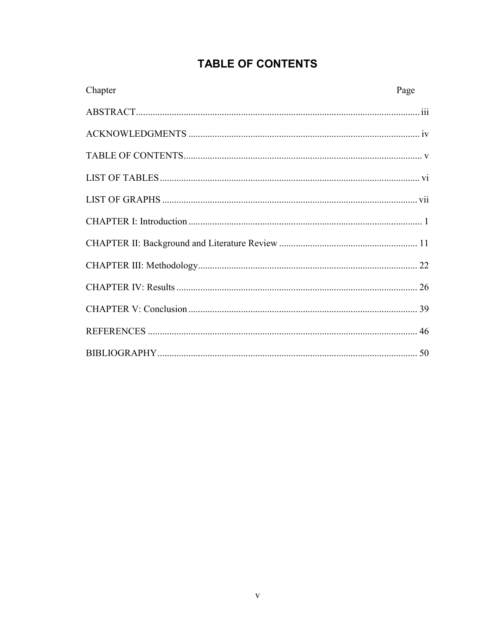# TABLE OF CONTENTS

<span id="page-5-0"></span>

| Chapter | Page |
|---------|------|
|         |      |
|         |      |
|         |      |
|         |      |
|         |      |
|         |      |
|         |      |
|         |      |
|         |      |
|         |      |
|         |      |
|         |      |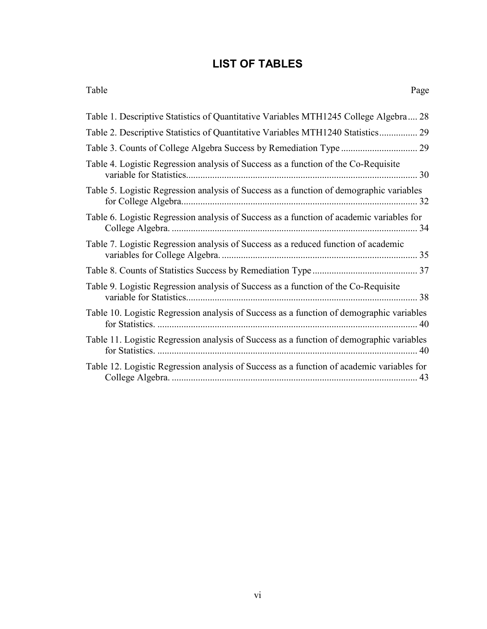# **LIST OF TABLES**

<span id="page-6-0"></span>

| Table<br>Page                                                                        |
|--------------------------------------------------------------------------------------|
| Table 1. Descriptive Statistics of Quantitative Variables MTH1245 College Algebra 28 |
|                                                                                      |
|                                                                                      |
| Table 4. Logistic Pegression applying of Success as a function of the Co Pequisite   |

| Table 4. Logistic Regression analysis of Success as a function of the Co-Requisite        |
|-------------------------------------------------------------------------------------------|
| Table 5. Logistic Regression analysis of Success as a function of demographic variables   |
| Table 6. Logistic Regression analysis of Success as a function of academic variables for  |
| Table 7. Logistic Regression analysis of Success as a reduced function of academic        |
|                                                                                           |
| Table 9. Logistic Regression analysis of Success as a function of the Co-Requisite        |
| Table 10. Logistic Regression analysis of Success as a function of demographic variables  |
| Table 11. Logistic Regression analysis of Success as a function of demographic variables  |
| Table 12. Logistic Regression analysis of Success as a function of academic variables for |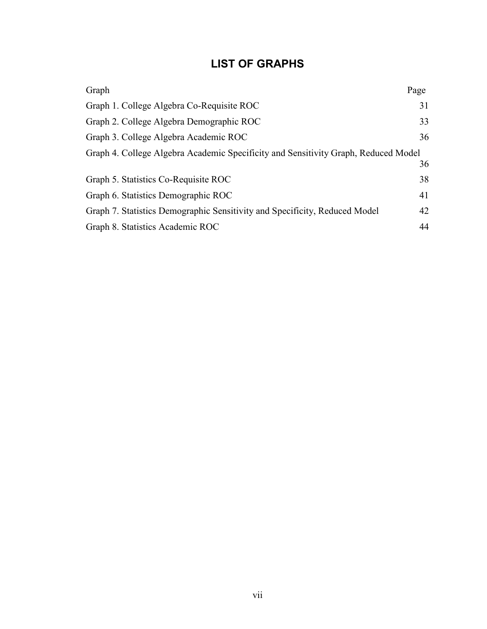# **LIST OF GRAPHS**

<span id="page-7-0"></span>

| Graph                                                                              | Page |
|------------------------------------------------------------------------------------|------|
| Graph 1. College Algebra Co-Requisite ROC                                          | 31   |
| Graph 2. College Algebra Demographic ROC                                           | 33   |
| Graph 3. College Algebra Academic ROC                                              | 36   |
| Graph 4. College Algebra Academic Specificity and Sensitivity Graph, Reduced Model |      |
|                                                                                    | 36   |
| Graph 5. Statistics Co-Requisite ROC                                               | 38   |
| Graph 6. Statistics Demographic ROC                                                | 41   |
| Graph 7. Statistics Demographic Sensitivity and Specificity, Reduced Model         | 42   |
| Graph 8. Statistics Academic ROC                                                   | 44   |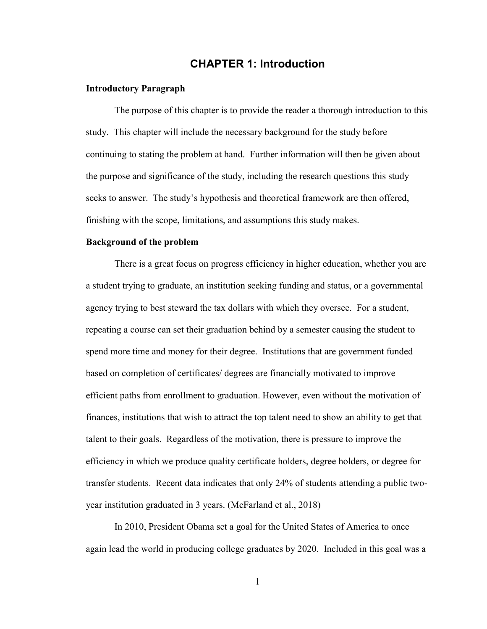# **CHAPTER 1: Introduction**

## **Introductory Paragraph**

The purpose of this chapter is to provide the reader a thorough introduction to this study. This chapter will include the necessary background for the study before continuing to stating the problem at hand. Further information will then be given about the purpose and significance of the study, including the research questions this study seeks to answer. The study's hypothesis and theoretical framework are then offered, finishing with the scope, limitations, and assumptions this study makes.

#### **Background of the problem**

There is a great focus on progress efficiency in higher education, whether you are a student trying to graduate, an institution seeking funding and status, or a governmental agency trying to best steward the tax dollars with which they oversee. For a student, repeating a course can set their graduation behind by a semester causing the student to spend more time and money for their degree. Institutions that are government funded based on completion of certificates/ degrees are financially motivated to improve efficient paths from enrollment to graduation. However, even without the motivation of finances, institutions that wish to attract the top talent need to show an ability to get that talent to their goals. Regardless of the motivation, there is pressure to improve the efficiency in which we produce quality certificate holders, degree holders, or degree for transfer students. Recent data indicates that only 24% of students attending a public twoyear institution graduated in 3 years. (McFarland et al., 2018)

In 2010, President Obama set a goal for the United States of America to once again lead the world in producing college graduates by 2020. Included in this goal was a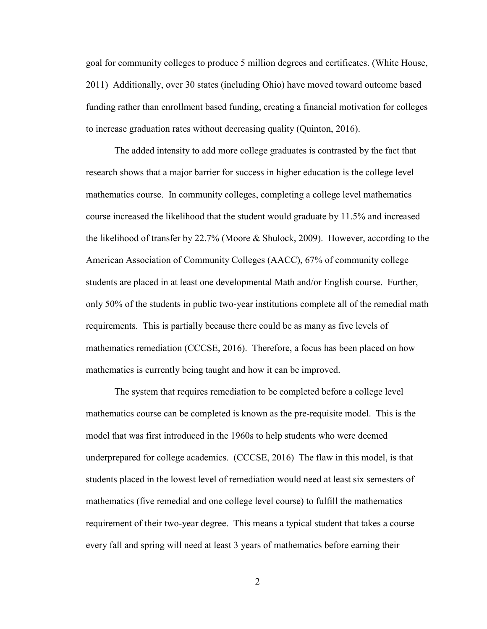goal for community colleges to produce 5 million degrees and certificates. (White House, 2011) Additionally, over 30 states (including Ohio) have moved toward outcome based funding rather than enrollment based funding, creating a financial motivation for colleges to increase graduation rates without decreasing quality (Quinton, 2016).

The added intensity to add more college graduates is contrasted by the fact that research shows that a major barrier for success in higher education is the college level mathematics course. In community colleges, completing a college level mathematics course increased the likelihood that the student would graduate by 11.5% and increased the likelihood of transfer by 22.7% (Moore & Shulock, 2009). However, according to the American Association of Community Colleges (AACC), 67% of community college students are placed in at least one developmental Math and/or English course. Further, only 50% of the students in public two-year institutions complete all of the remedial math requirements. This is partially because there could be as many as five levels of mathematics remediation (CCCSE, 2016). Therefore, a focus has been placed on how mathematics is currently being taught and how it can be improved.

The system that requires remediation to be completed before a college level mathematics course can be completed is known as the pre-requisite model. This is the model that was first introduced in the 1960s to help students who were deemed underprepared for college academics. (CCCSE, 2016) The flaw in this model, is that students placed in the lowest level of remediation would need at least six semesters of mathematics (five remedial and one college level course) to fulfill the mathematics requirement of their two-year degree. This means a typical student that takes a course every fall and spring will need at least 3 years of mathematics before earning their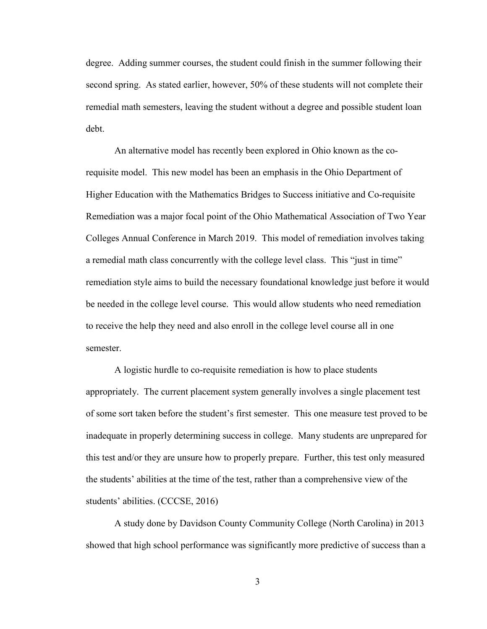degree. Adding summer courses, the student could finish in the summer following their second spring. As stated earlier, however, 50% of these students will not complete their remedial math semesters, leaving the student without a degree and possible student loan debt.

An alternative model has recently been explored in Ohio known as the corequisite model. This new model has been an emphasis in the Ohio Department of Higher Education with the Mathematics Bridges to Success initiative and Co-requisite Remediation was a major focal point of the Ohio Mathematical Association of Two Year Colleges Annual Conference in March 2019. This model of remediation involves taking a remedial math class concurrently with the college level class. This "just in time" remediation style aims to build the necessary foundational knowledge just before it would be needed in the college level course. This would allow students who need remediation to receive the help they need and also enroll in the college level course all in one semester.

A logistic hurdle to co-requisite remediation is how to place students appropriately. The current placement system generally involves a single placement test of some sort taken before the student's first semester. This one measure test proved to be inadequate in properly determining success in college. Many students are unprepared for this test and/or they are unsure how to properly prepare. Further, this test only measured the students' abilities at the time of the test, rather than a comprehensive view of the students' abilities. (CCCSE, 2016)

A study done by Davidson County Community College (North Carolina) in 2013 showed that high school performance was significantly more predictive of success than a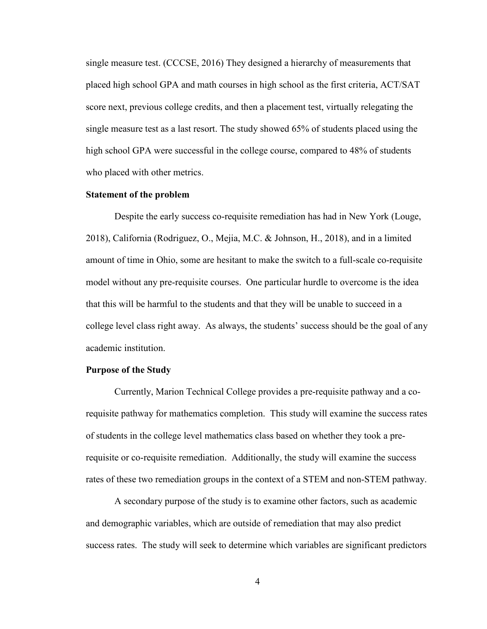single measure test. (CCCSE, 2016) They designed a hierarchy of measurements that placed high school GPA and math courses in high school as the first criteria, ACT/SAT score next, previous college credits, and then a placement test, virtually relegating the single measure test as a last resort. The study showed 65% of students placed using the high school GPA were successful in the college course, compared to 48% of students who placed with other metrics.

## **Statement of the problem**

Despite the early success co-requisite remediation has had in New York (Louge, 2018), California (Rodriguez, O., Mejia, M.C. & Johnson, H., 2018), and in a limited amount of time in Ohio, some are hesitant to make the switch to a full-scale co-requisite model without any pre-requisite courses. One particular hurdle to overcome is the idea that this will be harmful to the students and that they will be unable to succeed in a college level class right away. As always, the students' success should be the goal of any academic institution.

#### **Purpose of the Study**

Currently, Marion Technical College provides a pre-requisite pathway and a corequisite pathway for mathematics completion. This study will examine the success rates of students in the college level mathematics class based on whether they took a prerequisite or co-requisite remediation. Additionally, the study will examine the success rates of these two remediation groups in the context of a STEM and non-STEM pathway.

A secondary purpose of the study is to examine other factors, such as academic and demographic variables, which are outside of remediation that may also predict success rates. The study will seek to determine which variables are significant predictors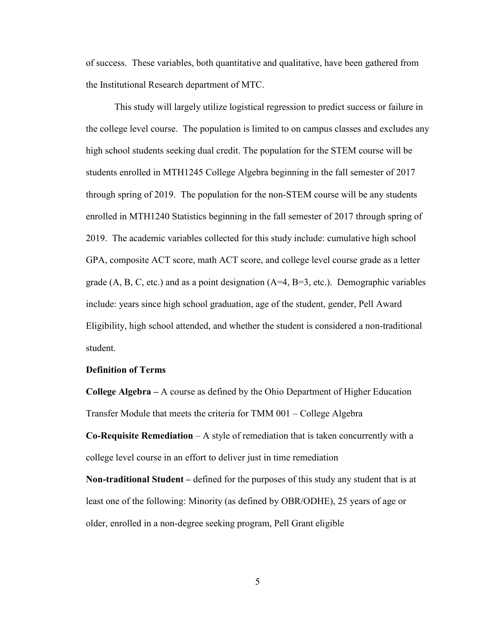of success. These variables, both quantitative and qualitative, have been gathered from the Institutional Research department of MTC.

This study will largely utilize logistical regression to predict success or failure in the college level course. The population is limited to on campus classes and excludes any high school students seeking dual credit. The population for the STEM course will be students enrolled in MTH1245 College Algebra beginning in the fall semester of 2017 through spring of 2019. The population for the non-STEM course will be any students enrolled in MTH1240 Statistics beginning in the fall semester of 2017 through spring of 2019. The academic variables collected for this study include: cumulative high school GPA, composite ACT score, math ACT score, and college level course grade as a letter grade  $(A, B, C, etc.)$  and as a point designation  $(A=4, B=3, etc.).$  Demographic variables include: years since high school graduation, age of the student, gender, Pell Award Eligibility, high school attended, and whether the student is considered a non-traditional student.

#### **Definition of Terms**

**College Algebra –** A course as defined by the Ohio Department of Higher Education Transfer Module that meets the criteria for TMM 001 – College Algebra **Co-Requisite Remediation** – A style of remediation that is taken concurrently with a

college level course in an effort to deliver just in time remediation

**Non-traditional Student –** defined for the purposes of this study any student that is at least one of the following: Minority (as defined by OBR/ODHE), 25 years of age or older, enrolled in a non-degree seeking program, Pell Grant eligible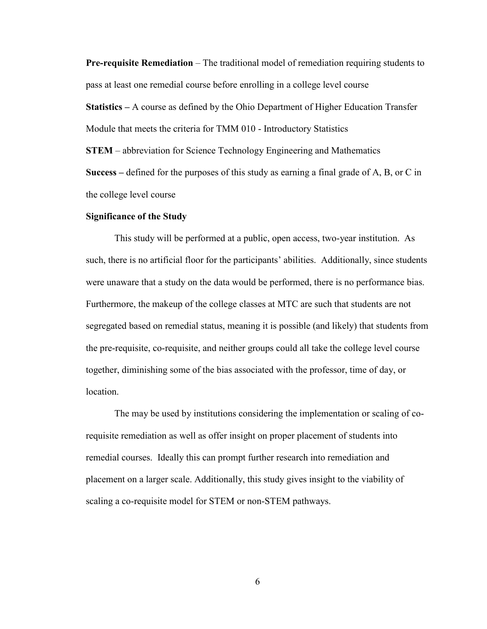**Pre-requisite Remediation** – The traditional model of remediation requiring students to pass at least one remedial course before enrolling in a college level course

**Statistics –** A course as defined by the Ohio Department of Higher Education Transfer Module that meets the criteria for TMM 010 - Introductory Statistics **STEM** – abbreviation for Science Technology Engineering and Mathematics

**Success –** defined for the purposes of this study as earning a final grade of A, B, or C in the college level course

#### **Significance of the Study**

This study will be performed at a public, open access, two-year institution. As such, there is no artificial floor for the participants' abilities. Additionally, since students were unaware that a study on the data would be performed, there is no performance bias. Furthermore, the makeup of the college classes at MTC are such that students are not segregated based on remedial status, meaning it is possible (and likely) that students from the pre-requisite, co-requisite, and neither groups could all take the college level course together, diminishing some of the bias associated with the professor, time of day, or location.

The may be used by institutions considering the implementation or scaling of corequisite remediation as well as offer insight on proper placement of students into remedial courses. Ideally this can prompt further research into remediation and placement on a larger scale. Additionally, this study gives insight to the viability of scaling a co-requisite model for STEM or non-STEM pathways.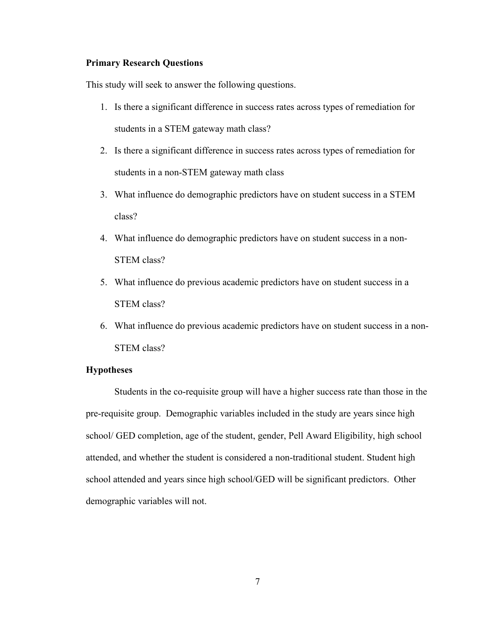## **Primary Research Questions**

This study will seek to answer the following questions.

- 1. Is there a significant difference in success rates across types of remediation for students in a STEM gateway math class?
- 2. Is there a significant difference in success rates across types of remediation for students in a non-STEM gateway math class
- 3. What influence do demographic predictors have on student success in a STEM class?
- 4. What influence do demographic predictors have on student success in a non-STEM class?
- 5. What influence do previous academic predictors have on student success in a STEM class?
- 6. What influence do previous academic predictors have on student success in a non-STEM class?

## **Hypotheses**

Students in the co-requisite group will have a higher success rate than those in the pre-requisite group. Demographic variables included in the study are years since high school/ GED completion, age of the student, gender, Pell Award Eligibility, high school attended, and whether the student is considered a non-traditional student. Student high school attended and years since high school/GED will be significant predictors. Other demographic variables will not.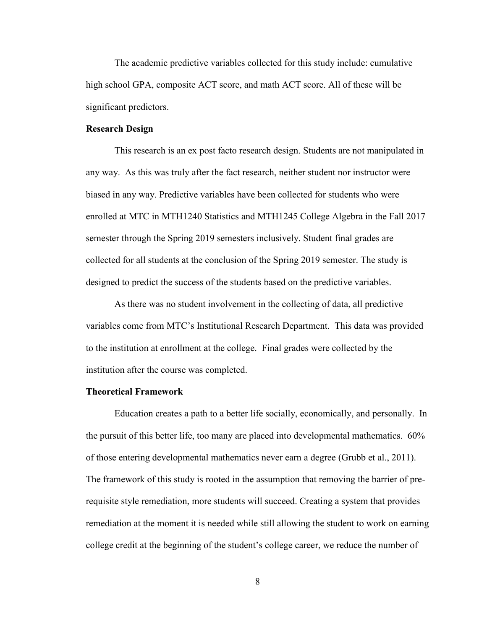The academic predictive variables collected for this study include: cumulative high school GPA, composite ACT score, and math ACT score. All of these will be significant predictors.

## **Research Design**

This research is an ex post facto research design. Students are not manipulated in any way. As this was truly after the fact research, neither student nor instructor were biased in any way. Predictive variables have been collected for students who were enrolled at MTC in MTH1240 Statistics and MTH1245 College Algebra in the Fall 2017 semester through the Spring 2019 semesters inclusively. Student final grades are collected for all students at the conclusion of the Spring 2019 semester. The study is designed to predict the success of the students based on the predictive variables.

As there was no student involvement in the collecting of data, all predictive variables come from MTC's Institutional Research Department. This data was provided to the institution at enrollment at the college. Final grades were collected by the institution after the course was completed.

#### **Theoretical Framework**

Education creates a path to a better life socially, economically, and personally. In the pursuit of this better life, too many are placed into developmental mathematics. 60% of those entering developmental mathematics never earn a degree (Grubb et al., 2011). The framework of this study is rooted in the assumption that removing the barrier of prerequisite style remediation, more students will succeed. Creating a system that provides remediation at the moment it is needed while still allowing the student to work on earning college credit at the beginning of the student's college career, we reduce the number of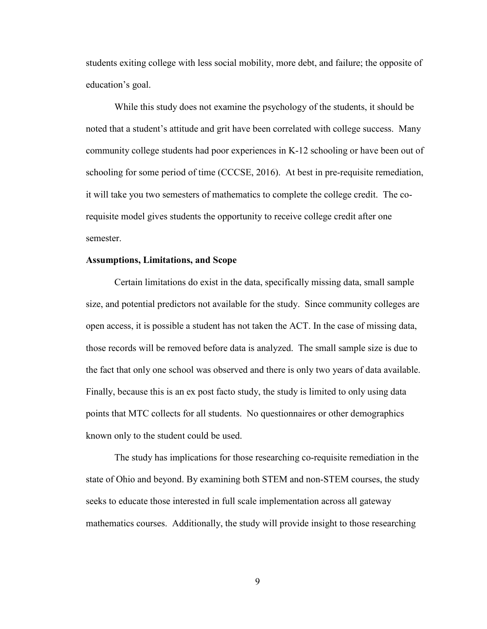students exiting college with less social mobility, more debt, and failure; the opposite of education's goal.

While this study does not examine the psychology of the students, it should be noted that a student's attitude and grit have been correlated with college success. Many community college students had poor experiences in K-12 schooling or have been out of schooling for some period of time (CCCSE, 2016). At best in pre-requisite remediation, it will take you two semesters of mathematics to complete the college credit. The corequisite model gives students the opportunity to receive college credit after one semester.

#### **Assumptions, Limitations, and Scope**

Certain limitations do exist in the data, specifically missing data, small sample size, and potential predictors not available for the study. Since community colleges are open access, it is possible a student has not taken the ACT. In the case of missing data, those records will be removed before data is analyzed. The small sample size is due to the fact that only one school was observed and there is only two years of data available. Finally, because this is an ex post facto study, the study is limited to only using data points that MTC collects for all students. No questionnaires or other demographics known only to the student could be used.

The study has implications for those researching co-requisite remediation in the state of Ohio and beyond. By examining both STEM and non-STEM courses, the study seeks to educate those interested in full scale implementation across all gateway mathematics courses. Additionally, the study will provide insight to those researching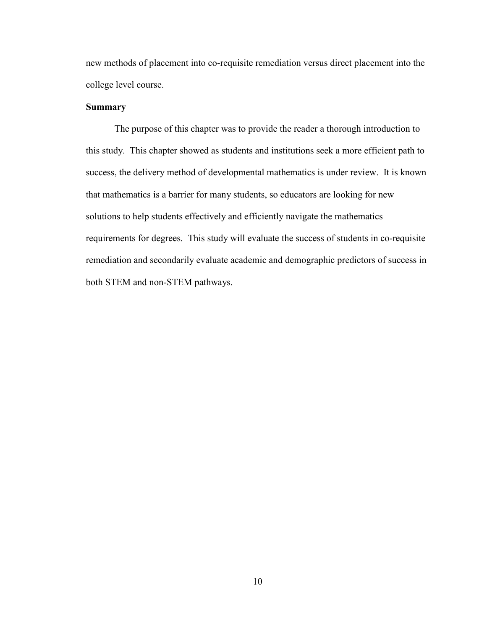new methods of placement into co-requisite remediation versus direct placement into the college level course.

## **Summary**

The purpose of this chapter was to provide the reader a thorough introduction to this study. This chapter showed as students and institutions seek a more efficient path to success, the delivery method of developmental mathematics is under review. It is known that mathematics is a barrier for many students, so educators are looking for new solutions to help students effectively and efficiently navigate the mathematics requirements for degrees. This study will evaluate the success of students in co-requisite remediation and secondarily evaluate academic and demographic predictors of success in both STEM and non-STEM pathways.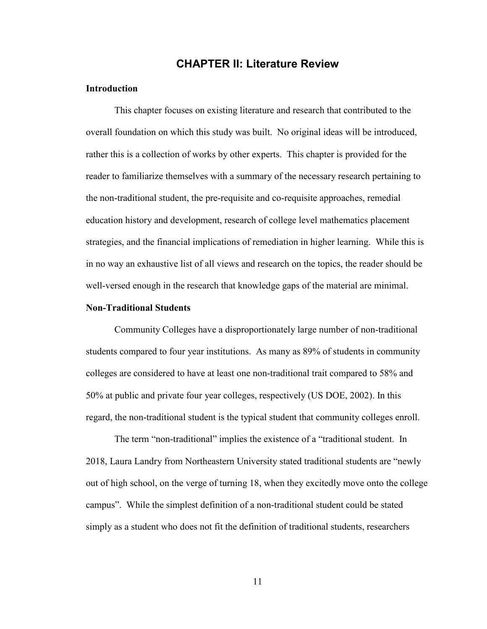# **CHAPTER II: Literature Review**

## **Introduction**

This chapter focuses on existing literature and research that contributed to the overall foundation on which this study was built. No original ideas will be introduced, rather this is a collection of works by other experts. This chapter is provided for the reader to familiarize themselves with a summary of the necessary research pertaining to the non-traditional student, the pre-requisite and co-requisite approaches, remedial education history and development, research of college level mathematics placement strategies, and the financial implications of remediation in higher learning. While this is in no way an exhaustive list of all views and research on the topics, the reader should be well-versed enough in the research that knowledge gaps of the material are minimal.

## **Non-Traditional Students**

Community Colleges have a disproportionately large number of non-traditional students compared to four year institutions. As many as 89% of students in community colleges are considered to have at least one non-traditional trait compared to 58% and 50% at public and private four year colleges, respectively (US DOE, 2002). In this regard, the non-traditional student is the typical student that community colleges enroll.

The term "non-traditional" implies the existence of a "traditional student. In 2018, Laura Landry from Northeastern University stated traditional students are "newly out of high school, on the verge of turning 18, when they excitedly move onto the college campus". While the simplest definition of a non-traditional student could be stated simply as a student who does not fit the definition of traditional students, researchers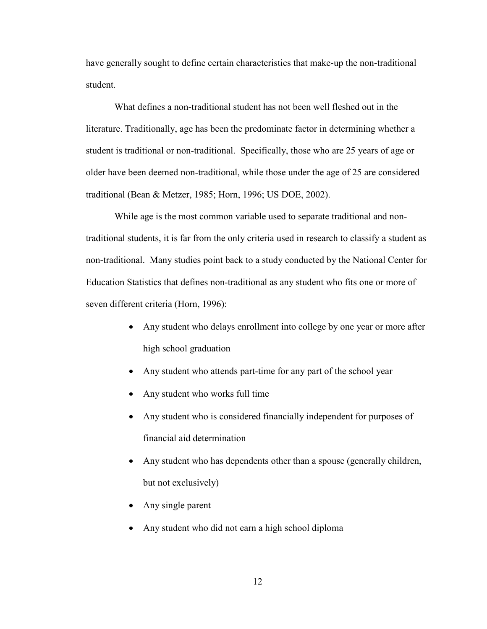have generally sought to define certain characteristics that make-up the non-traditional student.

What defines a non-traditional student has not been well fleshed out in the literature. Traditionally, age has been the predominate factor in determining whether a student is traditional or non-traditional. Specifically, those who are 25 years of age or older have been deemed non-traditional, while those under the age of 25 are considered traditional (Bean & Metzer, 1985; Horn, 1996; US DOE, 2002).

While age is the most common variable used to separate traditional and nontraditional students, it is far from the only criteria used in research to classify a student as non-traditional. Many studies point back to a study conducted by the National Center for Education Statistics that defines non-traditional as any student who fits one or more of seven different criteria (Horn, 1996):

- Any student who delays enrollment into college by one year or more after high school graduation
- Any student who attends part-time for any part of the school year
- Any student who works full time
- Any student who is considered financially independent for purposes of financial aid determination
- Any student who has dependents other than a spouse (generally children, but not exclusively)
- Any single parent
- Any student who did not earn a high school diploma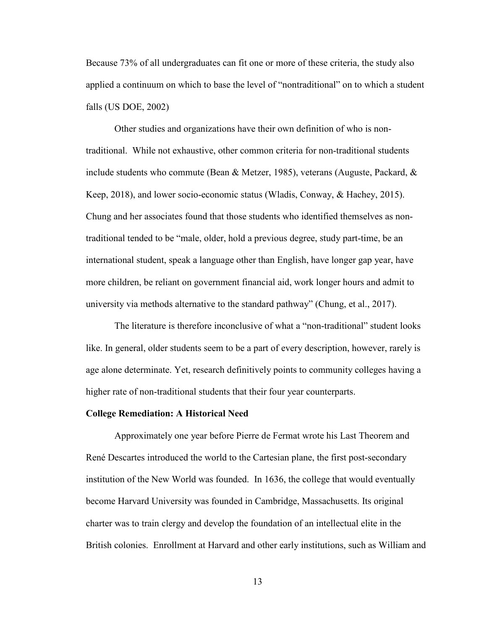Because 73% of all undergraduates can fit one or more of these criteria, the study also applied a continuum on which to base the level of "nontraditional" on to which a student falls (US DOE, 2002)

Other studies and organizations have their own definition of who is nontraditional. While not exhaustive, other common criteria for non-traditional students include students who commute (Bean & Metzer, 1985), veterans (Auguste, Packard, & Keep, 2018), and lower socio-economic status (Wladis, Conway, & Hachey, 2015). Chung and her associates found that those students who identified themselves as nontraditional tended to be "male, older, hold a previous degree, study part-time, be an international student, speak a language other than English, have longer gap year, have more children, be reliant on government financial aid, work longer hours and admit to university via methods alternative to the standard pathway" (Chung, et al., 2017).

The literature is therefore inconclusive of what a "non-traditional" student looks like. In general, older students seem to be a part of every description, however, rarely is age alone determinate. Yet, research definitively points to community colleges having a higher rate of non-traditional students that their four year counterparts.

#### **College Remediation: A Historical Need**

Approximately one year before Pierre de Fermat wrote his Last Theorem and René Descartes introduced the world to the Cartesian plane, the first post-secondary institution of the New World was founded. In 1636, the college that would eventually become Harvard University was founded in Cambridge, Massachusetts. Its original charter was to train clergy and develop the foundation of an intellectual elite in the British colonies. Enrollment at Harvard and other early institutions, such as William and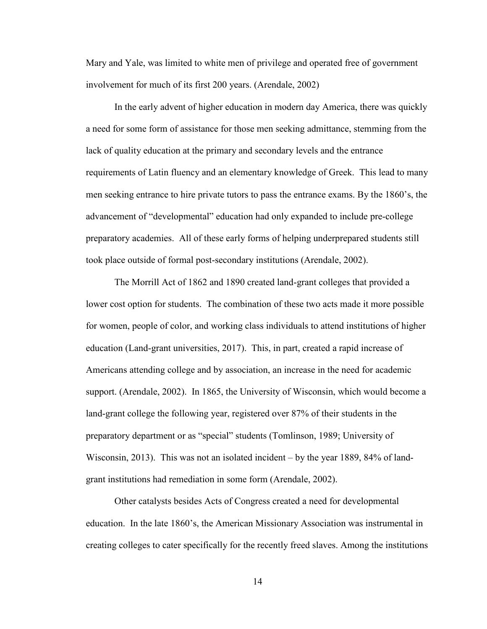Mary and Yale, was limited to white men of privilege and operated free of government involvement for much of its first 200 years. (Arendale, 2002)

In the early advent of higher education in modern day America, there was quickly a need for some form of assistance for those men seeking admittance, stemming from the lack of quality education at the primary and secondary levels and the entrance requirements of Latin fluency and an elementary knowledge of Greek. This lead to many men seeking entrance to hire private tutors to pass the entrance exams. By the 1860's, the advancement of "developmental" education had only expanded to include pre-college preparatory academies. All of these early forms of helping underprepared students still took place outside of formal post-secondary institutions (Arendale, 2002).

The Morrill Act of 1862 and 1890 created land-grant colleges that provided a lower cost option for students. The combination of these two acts made it more possible for women, people of color, and working class individuals to attend institutions of higher education (Land-grant universities, 2017). This, in part, created a rapid increase of Americans attending college and by association, an increase in the need for academic support. (Arendale, 2002). In 1865, the University of Wisconsin, which would become a land-grant college the following year, registered over 87% of their students in the preparatory department or as "special" students (Tomlinson, 1989; University of Wisconsin, 2013). This was not an isolated incident – by the year 1889, 84% of landgrant institutions had remediation in some form (Arendale, 2002).

Other catalysts besides Acts of Congress created a need for developmental education. In the late 1860's, the American Missionary Association was instrumental in creating colleges to cater specifically for the recently freed slaves. Among the institutions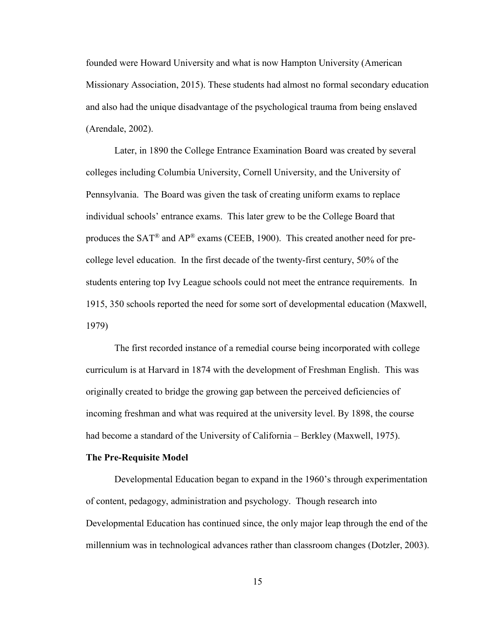founded were Howard University and what is now Hampton University (American Missionary Association, 2015). These students had almost no formal secondary education and also had the unique disadvantage of the psychological trauma from being enslaved (Arendale, 2002).

Later, in 1890 the College Entrance Examination Board was created by several colleges including Columbia University, Cornell University, and the University of Pennsylvania. The Board was given the task of creating uniform exams to replace individual schools' entrance exams. This later grew to be the College Board that produces the  $SAT^{\circledast}$  and  $AP^{\circledast}$  exams (CEEB, 1900). This created another need for precollege level education. In the first decade of the twenty-first century, 50% of the students entering top Ivy League schools could not meet the entrance requirements. In 1915, 350 schools reported the need for some sort of developmental education (Maxwell, 1979)

The first recorded instance of a remedial course being incorporated with college curriculum is at Harvard in 1874 with the development of Freshman English. This was originally created to bridge the growing gap between the perceived deficiencies of incoming freshman and what was required at the university level. By 1898, the course had become a standard of the University of California – Berkley (Maxwell, 1975).

#### **The Pre-Requisite Model**

Developmental Education began to expand in the 1960's through experimentation of content, pedagogy, administration and psychology. Though research into Developmental Education has continued since, the only major leap through the end of the millennium was in technological advances rather than classroom changes (Dotzler, 2003).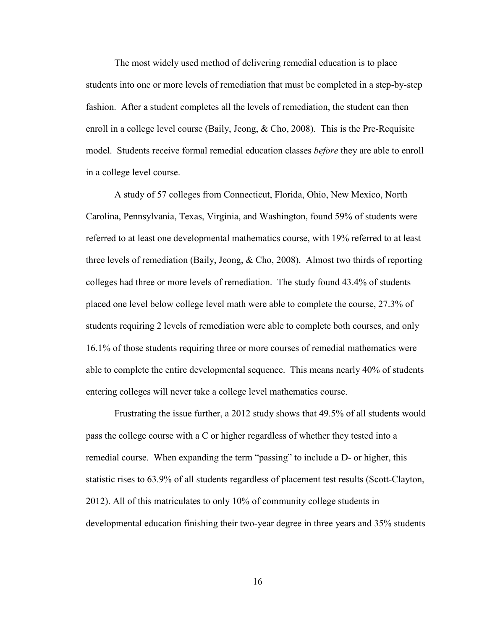The most widely used method of delivering remedial education is to place students into one or more levels of remediation that must be completed in a step-by-step fashion. After a student completes all the levels of remediation, the student can then enroll in a college level course (Baily, Jeong, & Cho, 2008). This is the Pre-Requisite model. Students receive formal remedial education classes *before* they are able to enroll in a college level course.

A study of 57 colleges from Connecticut, Florida, Ohio, New Mexico, North Carolina, Pennsylvania, Texas, Virginia, and Washington, found 59% of students were referred to at least one developmental mathematics course, with 19% referred to at least three levels of remediation (Baily, Jeong, & Cho, 2008). Almost two thirds of reporting colleges had three or more levels of remediation. The study found 43.4% of students placed one level below college level math were able to complete the course, 27.3% of students requiring 2 levels of remediation were able to complete both courses, and only 16.1% of those students requiring three or more courses of remedial mathematics were able to complete the entire developmental sequence. This means nearly 40% of students entering colleges will never take a college level mathematics course.

Frustrating the issue further, a 2012 study shows that 49.5% of all students would pass the college course with a C or higher regardless of whether they tested into a remedial course. When expanding the term "passing" to include a D- or higher, this statistic rises to 63.9% of all students regardless of placement test results (Scott-Clayton, 2012). All of this matriculates to only 10% of community college students in developmental education finishing their two-year degree in three years and 35% students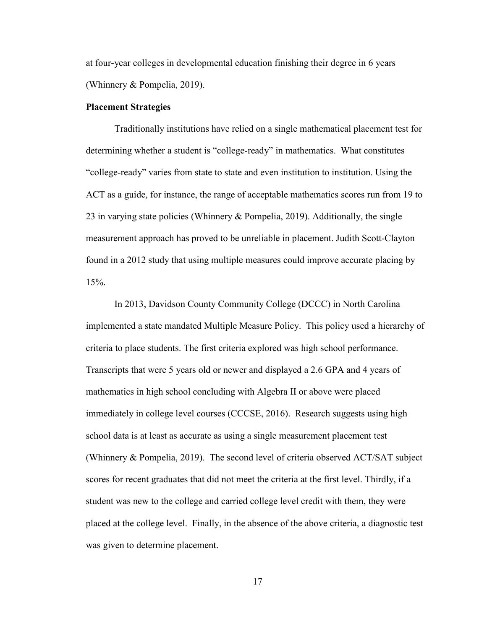at four-year colleges in developmental education finishing their degree in 6 years (Whinnery & Pompelia, 2019).

#### **Placement Strategies**

Traditionally institutions have relied on a single mathematical placement test for determining whether a student is "college-ready" in mathematics. What constitutes "college-ready" varies from state to state and even institution to institution. Using the ACT as a guide, for instance, the range of acceptable mathematics scores run from 19 to 23 in varying state policies (Whinnery & Pompelia, 2019). Additionally, the single measurement approach has proved to be unreliable in placement. Judith Scott-Clayton found in a 2012 study that using multiple measures could improve accurate placing by 15%.

In 2013, Davidson County Community College (DCCC) in North Carolina implemented a state mandated Multiple Measure Policy. This policy used a hierarchy of criteria to place students. The first criteria explored was high school performance. Transcripts that were 5 years old or newer and displayed a 2.6 GPA and 4 years of mathematics in high school concluding with Algebra II or above were placed immediately in college level courses (CCCSE, 2016). Research suggests using high school data is at least as accurate as using a single measurement placement test (Whinnery & Pompelia, 2019). The second level of criteria observed ACT/SAT subject scores for recent graduates that did not meet the criteria at the first level. Thirdly, if a student was new to the college and carried college level credit with them, they were placed at the college level. Finally, in the absence of the above criteria, a diagnostic test was given to determine placement.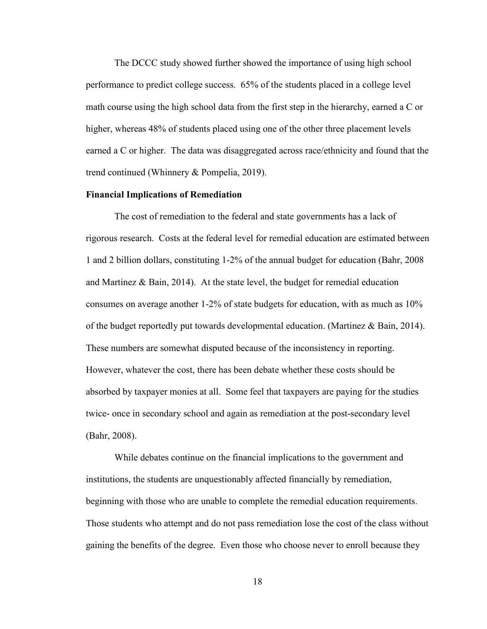The DCCC study showed further showed the importance of using high school performance to predict college success. 65% of the students placed in a college level math course using the high school data from the first step in the hierarchy, earned a C or higher, whereas 48% of students placed using one of the other three placement levels earned a C or higher. The data was disaggregated across race/ethnicity and found that the trend continued (Whinnery & Pompelia, 2019).

## **Financial Implications of Remediation**

The cost of remediation to the federal and state governments has a lack of rigorous research. Costs at the federal level for remedial education are estimated between 1 and 2 billion dollars, constituting 1-2% of the annual budget for education (Bahr, 2008 and Martinez & Bain, 2014). At the state level, the budget for remedial education consumes on average another 1-2% of state budgets for education, with as much as 10% of the budget reportedly put towards developmental education. (Martinez & Bain, 2014). These numbers are somewhat disputed because of the inconsistency in reporting. However, whatever the cost, there has been debate whether these costs should be absorbed by taxpayer monies at all. Some feel that taxpayers are paying for the studies twice- once in secondary school and again as remediation at the post-secondary level (Bahr, 2008).

While debates continue on the financial implications to the government and institutions, the students are unquestionably affected financially by remediation, beginning with those who are unable to complete the remedial education requirements. Those students who attempt and do not pass remediation lose the cost of the class without gaining the benefits of the degree. Even those who choose never to enroll because they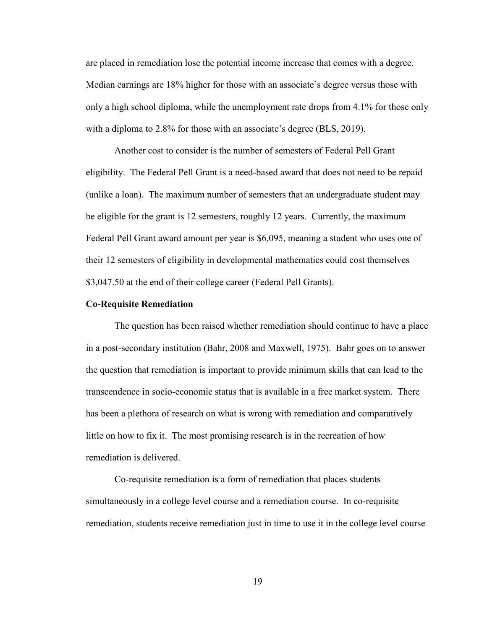are placed in remediation lose the potential income increase that comes with a degree. Median earnings are 18% higher for those with an associate's degree versus those with only a high school diploma, while the unemployment rate drops from 4.1% for those only with a diploma to 2.8% for those with an associate's degree (BLS, 2019).

Another cost to consider is the number of semesters of Federal Pell Grant eligibility. The Federal Pell Grant is a need-based award that does not need to be repaid (unlike a loan). The maximum number of semesters that an undergraduate student may be eligible for the grant is 12 semesters, roughly 12 years. Currently, the maximum Federal Pell Grant award amount per year is \$6,095, meaning a student who uses one of their 12 semesters of eligibility in developmental mathematics could cost themselves \$3,047.50 at the end of their college career (Federal Pell Grants).

#### **Co-Requisite Remediation**

The question has been raised whether remediation should continue to have a place in a post-secondary institution (Bahr, 2008 and Maxwell, 1975). Bahr goes on to answer the question that remediation is important to provide minimum skills that can lead to the transcendence in socio-economic status that is available in a free market system. There has been a plethora of research on what is wrong with remediation and comparatively little on how to fix it. The most promising research is in the recreation of how remediation is delivered.

Co-requisite remediation is a form of remediation that places students simultaneously in a college level course and a remediation course. In co-requisite remediation, students receive remediation just in time to use it in the college level course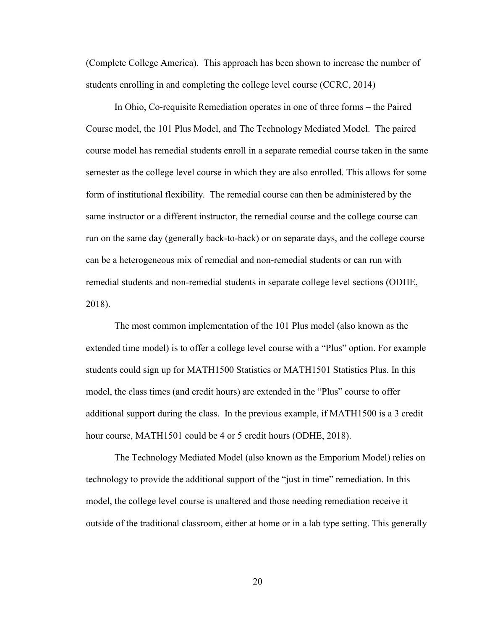(Complete College America). This approach has been shown to increase the number of students enrolling in and completing the college level course (CCRC, 2014)

In Ohio, Co-requisite Remediation operates in one of three forms – the Paired Course model, the 101 Plus Model, and The Technology Mediated Model. The paired course model has remedial students enroll in a separate remedial course taken in the same semester as the college level course in which they are also enrolled. This allows for some form of institutional flexibility. The remedial course can then be administered by the same instructor or a different instructor, the remedial course and the college course can run on the same day (generally back-to-back) or on separate days, and the college course can be a heterogeneous mix of remedial and non-remedial students or can run with remedial students and non-remedial students in separate college level sections (ODHE, 2018).

The most common implementation of the 101 Plus model (also known as the extended time model) is to offer a college level course with a "Plus" option. For example students could sign up for MATH1500 Statistics or MATH1501 Statistics Plus. In this model, the class times (and credit hours) are extended in the "Plus" course to offer additional support during the class. In the previous example, if MATH1500 is a 3 credit hour course, MATH1501 could be 4 or 5 credit hours (ODHE, 2018).

The Technology Mediated Model (also known as the Emporium Model) relies on technology to provide the additional support of the "just in time" remediation. In this model, the college level course is unaltered and those needing remediation receive it outside of the traditional classroom, either at home or in a lab type setting. This generally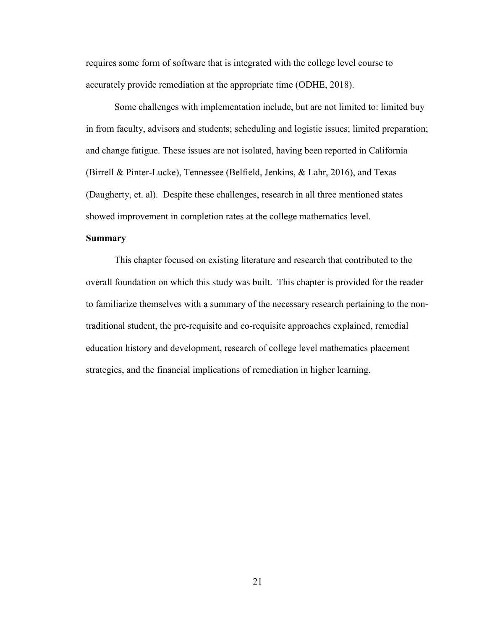requires some form of software that is integrated with the college level course to accurately provide remediation at the appropriate time (ODHE, 2018).

Some challenges with implementation include, but are not limited to: limited buy in from faculty, advisors and students; scheduling and logistic issues; limited preparation; and change fatigue. These issues are not isolated, having been reported in California (Birrell & Pinter-Lucke), Tennessee (Belfield, Jenkins, & Lahr, 2016), and Texas (Daugherty, et. al). Despite these challenges, research in all three mentioned states showed improvement in completion rates at the college mathematics level.

## **Summary**

This chapter focused on existing literature and research that contributed to the overall foundation on which this study was built. This chapter is provided for the reader to familiarize themselves with a summary of the necessary research pertaining to the nontraditional student, the pre-requisite and co-requisite approaches explained, remedial education history and development, research of college level mathematics placement strategies, and the financial implications of remediation in higher learning.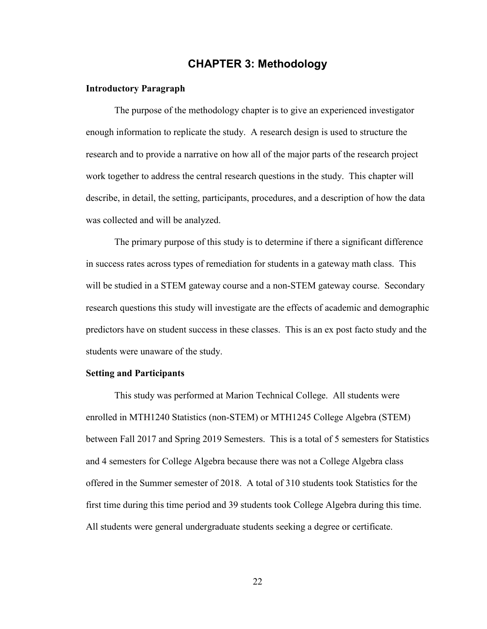# **CHAPTER 3: Methodology**

## **Introductory Paragraph**

The purpose of the methodology chapter is to give an experienced investigator enough information to replicate the study. A research design is used to structure the research and to provide a narrative on how all of the major parts of the research project work together to address the central research questions in the study. This chapter will describe, in detail, the setting, participants, procedures, and a description of how the data was collected and will be analyzed.

The primary purpose of this study is to determine if there a significant difference in success rates across types of remediation for students in a gateway math class. This will be studied in a STEM gateway course and a non-STEM gateway course. Secondary research questions this study will investigate are the effects of academic and demographic predictors have on student success in these classes. This is an ex post facto study and the students were unaware of the study.

#### **Setting and Participants**

This study was performed at Marion Technical College. All students were enrolled in MTH1240 Statistics (non-STEM) or MTH1245 College Algebra (STEM) between Fall 2017 and Spring 2019 Semesters. This is a total of 5 semesters for Statistics and 4 semesters for College Algebra because there was not a College Algebra class offered in the Summer semester of 2018. A total of 310 students took Statistics for the first time during this time period and 39 students took College Algebra during this time. All students were general undergraduate students seeking a degree or certificate.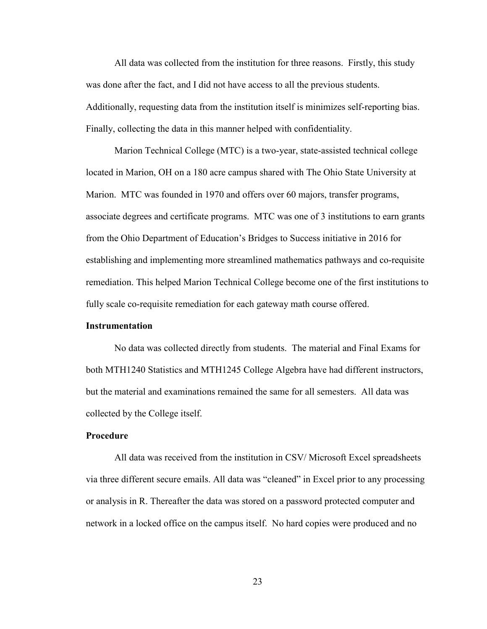All data was collected from the institution for three reasons. Firstly, this study was done after the fact, and I did not have access to all the previous students. Additionally, requesting data from the institution itself is minimizes self-reporting bias. Finally, collecting the data in this manner helped with confidentiality.

Marion Technical College (MTC) is a two-year, state-assisted technical college located in Marion, OH on a 180 acre campus shared with The Ohio State University at Marion. MTC was founded in 1970 and offers over 60 majors, transfer programs, associate degrees and certificate programs. MTC was one of 3 institutions to earn grants from the Ohio Department of Education's Bridges to Success initiative in 2016 for establishing and implementing more streamlined mathematics pathways and co-requisite remediation. This helped Marion Technical College become one of the first institutions to fully scale co-requisite remediation for each gateway math course offered.

## **Instrumentation**

No data was collected directly from students. The material and Final Exams for both MTH1240 Statistics and MTH1245 College Algebra have had different instructors, but the material and examinations remained the same for all semesters. All data was collected by the College itself.

## **Procedure**

All data was received from the institution in CSV/ Microsoft Excel spreadsheets via three different secure emails. All data was "cleaned" in Excel prior to any processing or analysis in R. Thereafter the data was stored on a password protected computer and network in a locked office on the campus itself. No hard copies were produced and no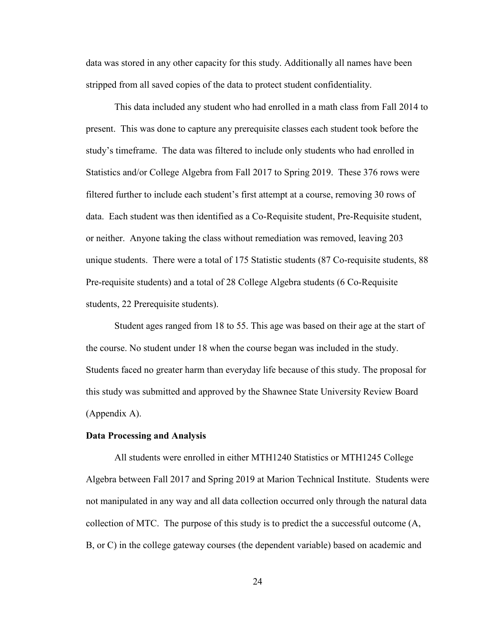data was stored in any other capacity for this study. Additionally all names have been stripped from all saved copies of the data to protect student confidentiality.

This data included any student who had enrolled in a math class from Fall 2014 to present. This was done to capture any prerequisite classes each student took before the study's timeframe. The data was filtered to include only students who had enrolled in Statistics and/or College Algebra from Fall 2017 to Spring 2019. These 376 rows were filtered further to include each student's first attempt at a course, removing 30 rows of data. Each student was then identified as a Co-Requisite student, Pre-Requisite student, or neither. Anyone taking the class without remediation was removed, leaving 203 unique students. There were a total of 175 Statistic students (87 Co-requisite students, 88 Pre-requisite students) and a total of 28 College Algebra students (6 Co-Requisite students, 22 Prerequisite students).

Student ages ranged from 18 to 55. This age was based on their age at the start of the course. No student under 18 when the course began was included in the study. Students faced no greater harm than everyday life because of this study. The proposal for this study was submitted and approved by the Shawnee State University Review Board (Appendix A).

#### **Data Processing and Analysis**

All students were enrolled in either MTH1240 Statistics or MTH1245 College Algebra between Fall 2017 and Spring 2019 at Marion Technical Institute. Students were not manipulated in any way and all data collection occurred only through the natural data collection of MTC. The purpose of this study is to predict the a successful outcome (A, B, or C) in the college gateway courses (the dependent variable) based on academic and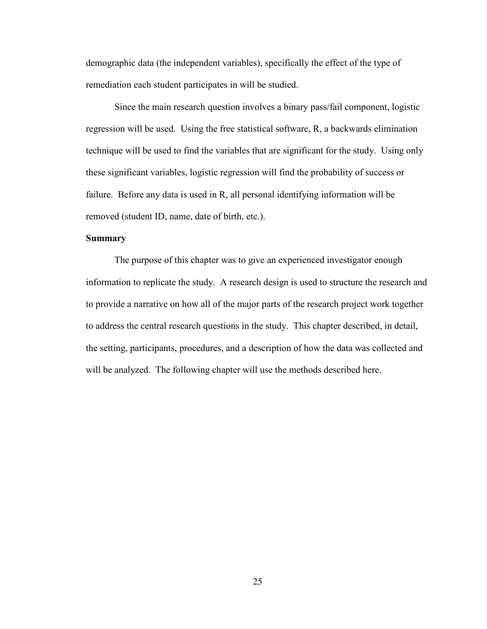demographic data (the independent variables), specifically the effect of the type of remediation each student participates in will be studied.

Since the main research question involves a binary pass/fail component, logistic regression will be used. Using the free statistical software, R, a backwards elimination technique will be used to find the variables that are significant for the study. Using only these significant variables, logistic regression will find the probability of success or failure. Before any data is used in R, all personal identifying information will be removed (student ID, name, date of birth, etc.).

## **Summary**

The purpose of this chapter was to give an experienced investigator enough information to replicate the study. A research design is used to structure the research and to provide a narrative on how all of the major parts of the research project work together to address the central research questions in the study. This chapter described, in detail, the setting, participants, procedures, and a description of how the data was collected and will be analyzed. The following chapter will use the methods described here.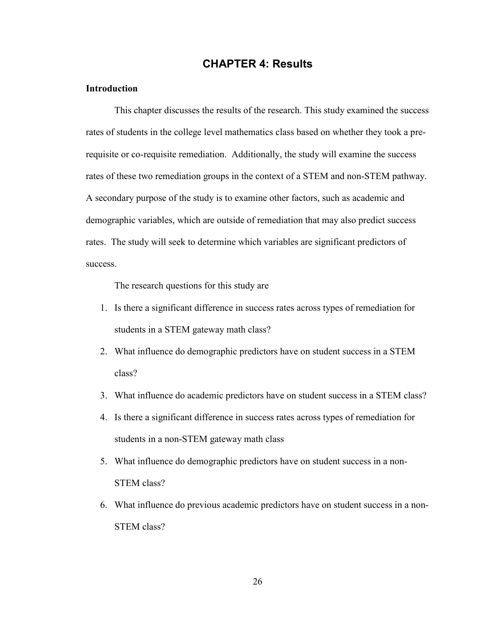# **CHAPTER 4: Results**

## **Introduction**

This chapter discusses the results of the research. This study examined the success rates of students in the college level mathematics class based on whether they took a prerequisite or co-requisite remediation. Additionally, the study will examine the success rates of these two remediation groups in the context of a STEM and non-STEM pathway. A secondary purpose of the study is to examine other factors, such as academic and demographic variables, which are outside of remediation that may also predict success rates. The study will seek to determine which variables are significant predictors of success.

The research questions for this study are

- 1. Is there a significant difference in success rates across types of remediation for students in a STEM gateway math class?
- 2. What influence do demographic predictors have on student success in a STEM class?
- 3. What influence do academic predictors have on student success in a STEM class?
- 4. Is there a significant difference in success rates across types of remediation for students in a non-STEM gateway math class
- 5. What influence do demographic predictors have on student success in a non-STEM class?
- 6. What influence do previous academic predictors have on student success in a non-STEM class?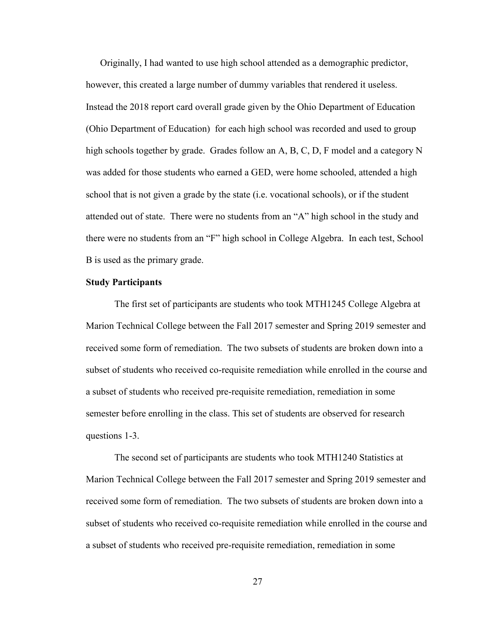Originally, I had wanted to use high school attended as a demographic predictor, however, this created a large number of dummy variables that rendered it useless. Instead the 2018 report card overall grade given by the Ohio Department of Education (Ohio Department of Education) for each high school was recorded and used to group high schools together by grade. Grades follow an A, B, C, D, F model and a category N was added for those students who earned a GED, were home schooled, attended a high school that is not given a grade by the state (i.e. vocational schools), or if the student attended out of state. There were no students from an "A" high school in the study and there were no students from an "F" high school in College Algebra. In each test, School B is used as the primary grade.

#### **Study Participants**

The first set of participants are students who took MTH1245 College Algebra at Marion Technical College between the Fall 2017 semester and Spring 2019 semester and received some form of remediation. The two subsets of students are broken down into a subset of students who received co-requisite remediation while enrolled in the course and a subset of students who received pre-requisite remediation, remediation in some semester before enrolling in the class. This set of students are observed for research questions 1-3.

The second set of participants are students who took MTH1240 Statistics at Marion Technical College between the Fall 2017 semester and Spring 2019 semester and received some form of remediation. The two subsets of students are broken down into a subset of students who received co-requisite remediation while enrolled in the course and a subset of students who received pre-requisite remediation, remediation in some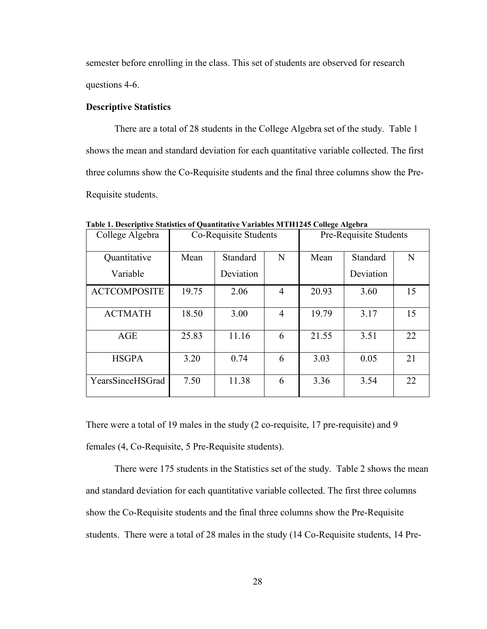semester before enrolling in the class. This set of students are observed for research questions 4-6.

## **Descriptive Statistics**

There are a total of 28 students in the College Algebra set of the study. Table 1 shows the mean and standard deviation for each quantitative variable collected. The first three columns show the Co-Requisite students and the final three columns show the Pre-Requisite students.

| College Algebra     | Co-Requisite Students |           |                |       | Pre-Requisite Students |    |
|---------------------|-----------------------|-----------|----------------|-------|------------------------|----|
| Quantitative        | Mean                  | Standard  | N              | Mean  | Standard               | N  |
| Variable            |                       | Deviation |                |       | Deviation              |    |
| <b>ACTCOMPOSITE</b> | 19.75                 | 2.06      | $\overline{4}$ | 20.93 | 3.60                   | 15 |
| <b>ACTMATH</b>      | 18.50                 | 3.00      | $\overline{4}$ | 19.79 | 3.17                   | 15 |
| AGE                 | 25.83                 | 11.16     | 6              | 21.55 | 3.51                   | 22 |
| <b>HSGPA</b>        | 3.20                  | 0.74      | 6              | 3.03  | 0.05                   | 21 |
| YearsSinceHSGrad    | 7.50                  | 11.38     | 6              | 3.36  | 3.54                   | 22 |

<span id="page-35-0"></span>**Table 1. Descriptive Statistics of Quantitative Variables MTH1245 College Algebra**

There were a total of 19 males in the study (2 co-requisite, 17 pre-requisite) and 9 females (4, Co-Requisite, 5 Pre-Requisite students).

There were 175 students in the Statistics set of the study. Table 2 shows the mean and standard deviation for each quantitative variable collected. The first three columns show the Co-Requisite students and the final three columns show the Pre-Requisite students. There were a total of 28 males in the study (14 Co-Requisite students, 14 Pre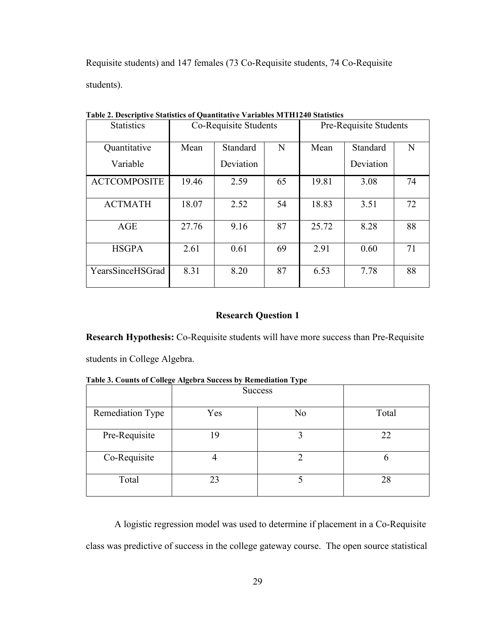Requisite students) and 147 females (73 Co-Requisite students, 74 Co-Requisite students).

| таріс 2. Безенрите энивнез от фаапинанте танаріся вінші го энивнез |                       |           |    |       |                        |    |  |  |
|--------------------------------------------------------------------|-----------------------|-----------|----|-------|------------------------|----|--|--|
| <b>Statistics</b>                                                  | Co-Requisite Students |           |    |       | Pre-Requisite Students |    |  |  |
|                                                                    |                       |           |    |       |                        |    |  |  |
| Quantitative                                                       | Mean                  | Standard  | N  | Mean  | Standard               | N  |  |  |
| Variable                                                           |                       | Deviation |    |       | Deviation              |    |  |  |
| <b>ACTCOMPOSITE</b>                                                | 19.46                 | 2.59      | 65 | 19.81 | 3.08                   | 74 |  |  |
| <b>ACTMATH</b>                                                     | 18.07                 | 2.52      | 54 | 18.83 | 3.51                   | 72 |  |  |
| AGE                                                                | 27.76                 | 9.16      | 87 | 25.72 | 8.28                   | 88 |  |  |
| <b>HSGPA</b>                                                       | 2.61                  | 0.61      | 69 | 2.91  | 0.60                   | 71 |  |  |
| YearsSinceHSGrad                                                   | 8.31                  | 8.20      | 87 | 6.53  | 7.78                   | 88 |  |  |

<span id="page-36-0"></span>**Table 2. Descriptive Statistics of Quantitative Variables MTH1240 Statistics**

## **Research Question 1**

**Research Hypothesis:** Co-Requisite students will have more success than Pre-Requisite

students in College Algebra.

<span id="page-36-1"></span>**Table 3. Counts of College Algebra Success by Remediation Type**

|                  | <b>Success</b> |    |       |
|------------------|----------------|----|-------|
| Remediation Type | Yes            | No | Total |
| Pre-Requisite    | 19             | 2  | 22    |
| Co-Requisite     |                |    |       |
| Total            | 23             |    | 28    |

A logistic regression model was used to determine if placement in a Co-Requisite class was predictive of success in the college gateway course. The open source statistical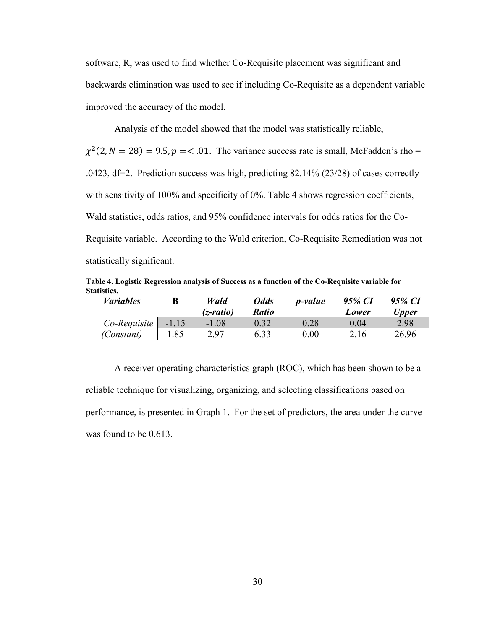software, R, was used to find whether Co-Requisite placement was significant and backwards elimination was used to see if including Co-Requisite as a dependent variable improved the accuracy of the model.

Analysis of the model showed that the model was statistically reliable,

 $\chi^2(2, N = 28) = 9.5, p = 0.1$ . The variance success rate is small, McFadden's rho = .0423, df=2. Prediction success was high, predicting 82.14% (23/28) of cases correctly with sensitivity of 100% and specificity of 0%. Table 4 shows regression coefficients, Wald statistics, odds ratios, and 95% confidence intervals for odds ratios for the Co-Requisite variable. According to the Wald criterion, Co-Requisite Remediation was not statistically significant.

<span id="page-37-0"></span>**Table 4. Logistic Regression analysis of Success as a function of the Co-Requisite variable for Statistics.**

| <i>Variables</i> |         | Wald<br>$(z$ -ratio) | <b>Odds</b><br><b>Ratio</b> | <i>p</i> -value | 95% CI<br>Lower | 95% CI<br>Upper |
|------------------|---------|----------------------|-----------------------------|-----------------|-----------------|-----------------|
| Co-Requisite     | $-1.15$ | $-1.08$              | 0.32                        | 0.28            | 0.04            | 2.98            |
| (Constant)       | 1.85    | 2.97                 | 6.33                        | $0.00\,$        | 2.16            | 26.96           |

A receiver operating characteristics graph (ROC), which has been shown to be a reliable technique for visualizing, organizing, and selecting classifications based on performance, is presented in Graph 1. For the set of predictors, the area under the curve was found to be 0.613.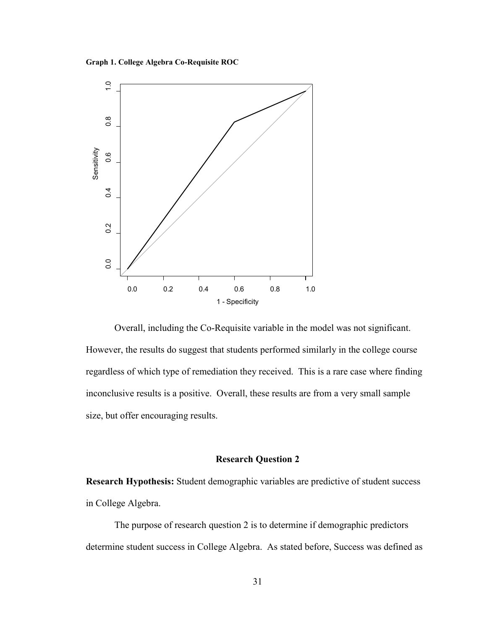<span id="page-38-0"></span>**Graph 1. College Algebra Co-Requisite ROC**



Overall, including the Co-Requisite variable in the model was not significant. However, the results do suggest that students performed similarly in the college course regardless of which type of remediation they received. This is a rare case where finding inconclusive results is a positive. Overall, these results are from a very small sample size, but offer encouraging results.

## **Research Question 2**

**Research Hypothesis:** Student demographic variables are predictive of student success in College Algebra.

The purpose of research question 2 is to determine if demographic predictors determine student success in College Algebra. As stated before, Success was defined as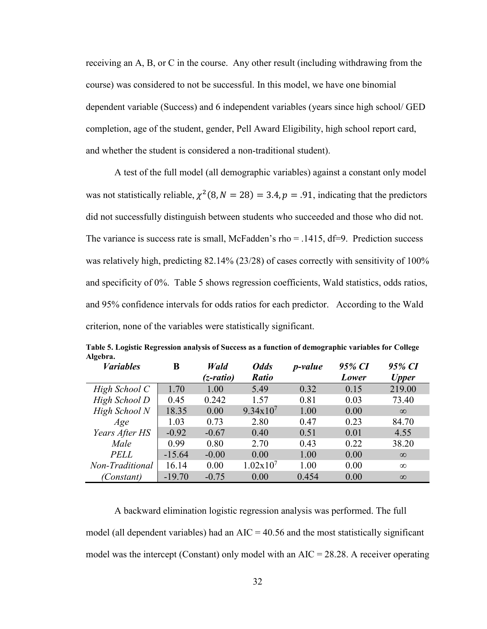receiving an A, B, or C in the course. Any other result (including withdrawing from the course) was considered to not be successful. In this model, we have one binomial dependent variable (Success) and 6 independent variables (years since high school/ GED completion, age of the student, gender, Pell Award Eligibility, high school report card, and whether the student is considered a non-traditional student).

A test of the full model (all demographic variables) against a constant only model was not statistically reliable,  $\chi^2(8, N = 28) = 3.4, p = .91$ , indicating that the predictors did not successfully distinguish between students who succeeded and those who did not. The variance is success rate is small, McFadden's rho  $= .1415$ , df=9. Prediction success was relatively high, predicting 82.14% (23/28) of cases correctly with sensitivity of 100% and specificity of 0%. Table 5 shows regression coefficients, Wald statistics, odds ratios, and 95% confidence intervals for odds ratios for each predictor. According to the Wald criterion, none of the variables were statistically significant.

| <b><i>Variables</i></b> | B        | Wald      | <b>Odds</b>   | <i>p</i> -value | 95% CI | 95% CI       |
|-------------------------|----------|-----------|---------------|-----------------|--------|--------------|
|                         |          | (z-ratio) | <b>Ratio</b>  |                 | Lower  | <b>Upper</b> |
| High School C           | 1.70     | 1.00      | 5.49          | 0.32            | 0.15   | 219.00       |
| High School D           | 0.45     | 0.242     | 1.57          | 0.81            | 0.03   | 73.40        |
| High School N           | 18.35    | 0.00      | $9.34x10^{7}$ | 1.00            | 0.00   | $\infty$     |
| Age                     | 1.03     | 0.73      | 2.80          | 0.47            | 0.23   | 84.70        |
| Years After HS          | $-0.92$  | $-0.67$   | 0.40          | 0.51            | 0.01   | 4.55         |
| Male                    | 0.99     | 0.80      | 2.70          | 0.43            | 0.22   | 38.20        |
| <b>PELL</b>             | $-15.64$ | $-0.00$   | 0.00          | 1.00            | 0.00   | $\infty$     |
| Non-Traditional         | 16.14    | 0.00      | $1.02x10^{7}$ | 1.00            | 0.00   | $\infty$     |
| (Constant)              | $-19.70$ | $-0.75$   | 0.00          | 0.454           | 0.00   | $\infty$     |

<span id="page-39-0"></span>**Table 5. Logistic Regression analysis of Success as a function of demographic variables for College Algebra.**

A backward elimination logistic regression analysis was performed. The full model (all dependent variables) had an  $AIC = 40.56$  and the most statistically significant model was the intercept (Constant) only model with an  $AIC = 28.28$ . A receiver operating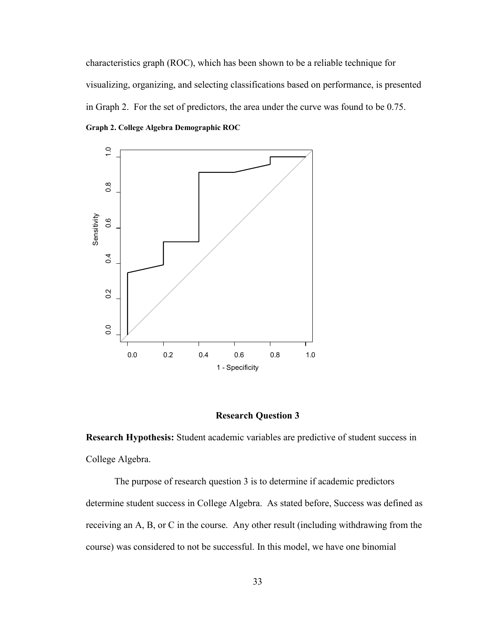characteristics graph (ROC), which has been shown to be a reliable technique for visualizing, organizing, and selecting classifications based on performance, is presented in Graph 2. For the set of predictors, the area under the curve was found to be 0.75. **Graph 2. College Algebra Demographic ROC**

<span id="page-40-0"></span>

## **Research Question 3**

**Research Hypothesis:** Student academic variables are predictive of student success in College Algebra.

The purpose of research question 3 is to determine if academic predictors determine student success in College Algebra. As stated before, Success was defined as receiving an A, B, or C in the course. Any other result (including withdrawing from the course) was considered to not be successful. In this model, we have one binomial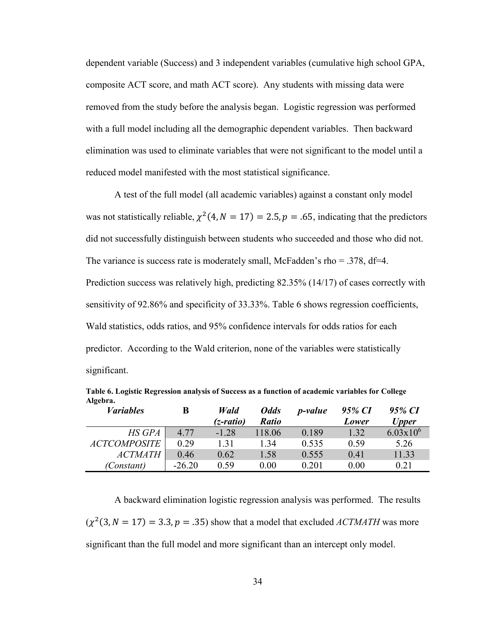dependent variable (Success) and 3 independent variables (cumulative high school GPA, composite ACT score, and math ACT score). Any students with missing data were removed from the study before the analysis began. Logistic regression was performed with a full model including all the demographic dependent variables. Then backward elimination was used to eliminate variables that were not significant to the model until a reduced model manifested with the most statistical significance.

A test of the full model (all academic variables) against a constant only model was not statistically reliable,  $\chi^2(4, N = 17) = 2.5, p = .65$ , indicating that the predictors did not successfully distinguish between students who succeeded and those who did not. The variance is success rate is moderately small, McFadden's rho =  $.378$ , df=4. Prediction success was relatively high, predicting 82.35% (14/17) of cases correctly with sensitivity of 92.86% and specificity of 33.33%. Table 6 shows regression coefficients, Wald statistics, odds ratios, and 95% confidence intervals for odds ratios for each predictor. According to the Wald criterion, none of the variables were statistically significant.

| <b><i>Variables</i></b> | B        | Wald<br>(z-ratio) | <b>Odds</b><br><b>Ratio</b> | <i>p</i> -value | 95% CI<br>Lower | 95% CI<br><b>Upper</b> |
|-------------------------|----------|-------------------|-----------------------------|-----------------|-----------------|------------------------|
| <b>HS GPA</b>           | 4.77     | $-1.28$           | 118.06                      | 0.189           | 1.32            | $6.03x10^{6}$          |
| <b>ACTCOMPOSITE</b>     | 0.29     | 1.31              | 1.34                        | 0.535           | 0.59            | 5.26                   |
| <b>ACTMATH</b>          | 0.46     | 0.62              | 1.58                        | 0.555           | 0.41            | 11.33                  |
| (Constant)              | $-26.20$ | 0.59              | 0.00                        | 0.201           | 0.00            | 0.21                   |

<span id="page-41-0"></span>**Table 6. Logistic Regression analysis of Success as a function of academic variables for College Algebra.**

A backward elimination logistic regression analysis was performed. The results  $(\chi^2(3, N = 17) = 3.3, p = .35)$  show that a model that excluded *ACTMATH* was more significant than the full model and more significant than an intercept only model.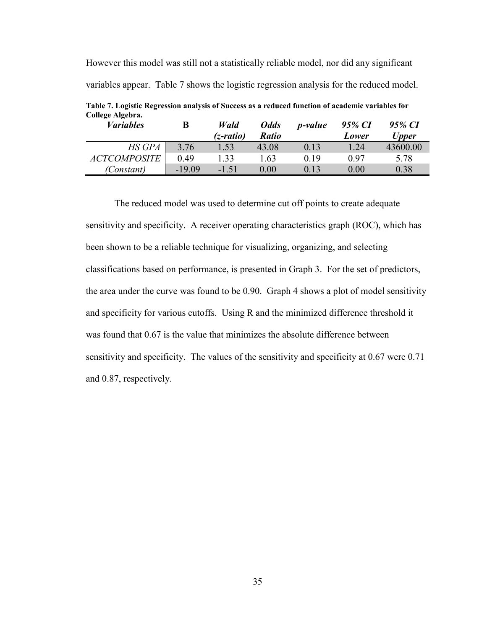However this model was still not a statistically reliable model, nor did any significant variables appear. Table 7 shows the logistic regression analysis for the reduced model.

| Concet incoma.<br><i>Variables</i> | B        | Wald<br>$(z$ -ratio) | <b>Odds</b><br><b>Ratio</b> | <i>p</i> -value | 95% CI<br>Lower | 95% CI<br><b>Upper</b> |
|------------------------------------|----------|----------------------|-----------------------------|-----------------|-----------------|------------------------|
| <b>HS GPA</b>                      | 3.76     | 1.53                 | 43.08                       | 0.13            | 1.24            | 43600.00               |
| <i>ACTCOMPOSITE</i>                | 0.49     | 1.33                 | 1.63                        | 0.19            | 0.97            | 5.78                   |
| (Constant)                         | $-19.09$ | $-1.51$              | 0.00                        | 0.13            | 0.00            | 0.38                   |

<span id="page-42-0"></span>**Table 7. Logistic Regression analysis of Success as a reduced function of academic variables for College Algebra.**

The reduced model was used to determine cut off points to create adequate sensitivity and specificity. A receiver operating characteristics graph (ROC), which has been shown to be a reliable technique for visualizing, organizing, and selecting classifications based on performance, is presented in Graph 3. For the set of predictors, the area under the curve was found to be 0.90. Graph 4 shows a plot of model sensitivity and specificity for various cutoffs. Using R and the minimized difference threshold it was found that 0.67 is the value that minimizes the absolute difference between sensitivity and specificity. The values of the sensitivity and specificity at 0.67 were 0.71 and 0.87, respectively.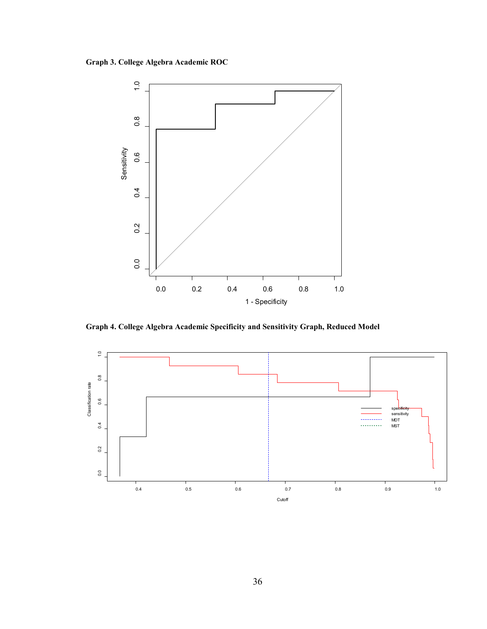<span id="page-43-0"></span>**Graph 3. College Algebra Academic ROC**



<span id="page-43-1"></span>**Graph 4. College Algebra Academic Specificity and Sensitivity Graph, Reduced Model**

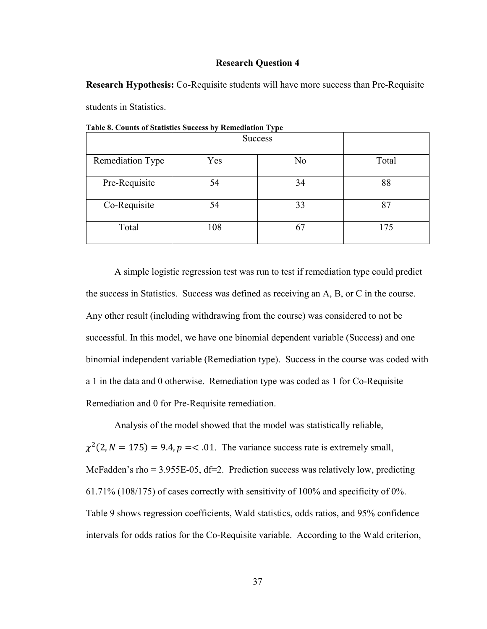#### **Research Question 4**

**Research Hypothesis:** Co-Requisite students will have more success than Pre-Requisite students in Statistics.

|                  | <b>Success</b> |    |       |
|------------------|----------------|----|-------|
| Remediation Type | Yes            | No | Total |
| Pre-Requisite    | 54             | 34 | 88    |
| Co-Requisite     | 54             | 33 | 87    |
| Total            | 108            | 67 | 175   |

<span id="page-44-0"></span>**Table 8. Counts of Statistics Success by Remediation Type**

A simple logistic regression test was run to test if remediation type could predict the success in Statistics. Success was defined as receiving an A, B, or C in the course. Any other result (including withdrawing from the course) was considered to not be successful. In this model, we have one binomial dependent variable (Success) and one binomial independent variable (Remediation type). Success in the course was coded with a 1 in the data and 0 otherwise. Remediation type was coded as 1 for Co-Requisite Remediation and 0 for Pre-Requisite remediation.

Analysis of the model showed that the model was statistically reliable,  $\chi^2(2, N = 175) = 9.4$ ,  $p = 0.1$ . The variance success rate is extremely small, McFadden's rho = 3.955E-05, df=2. Prediction success was relatively low, predicting 61.71% (108/175) of cases correctly with sensitivity of 100% and specificity of 0%. Table 9 shows regression coefficients, Wald statistics, odds ratios, and 95% confidence intervals for odds ratios for the Co-Requisite variable. According to the Wald criterion,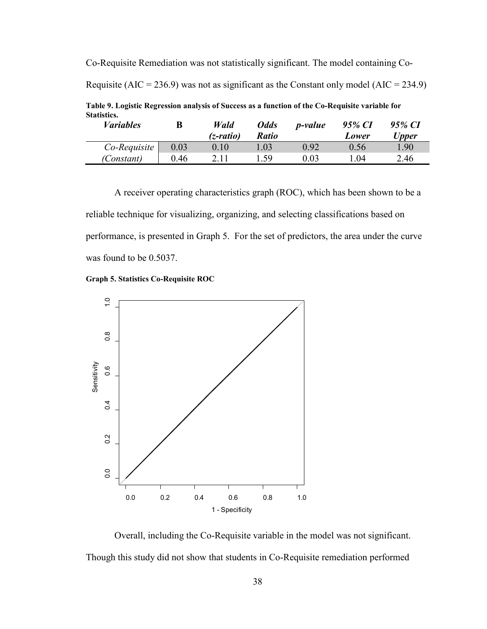<span id="page-45-0"></span>Co-Requisite Remediation was not statistically significant. The model containing Co-Requisite (AIC = 236.9) was not as significant as the Constant only model (AIC = 234.9) **Table 9. Logistic Regression analysis of Success as a function of the Co-Requisite variable for Statistics.** *Variables* **B** *Wald (z-ratio) Odds Ratio p-value 95% CI Lower 95% CI Upper Co-Requisite* 0.03 0.10 1.03 0.92 0.56 1.90

*(Constant)* 0.46 2.11 1.59 0.03 1.04 2.46

A receiver operating characteristics graph (ROC), which has been shown to be a reliable technique for visualizing, organizing, and selecting classifications based on performance, is presented in Graph 5. For the set of predictors, the area under the curve was found to be 0.5037.

<span id="page-45-1"></span>



Overall, including the Co-Requisite variable in the model was not significant. Though this study did not show that students in Co-Requisite remediation performed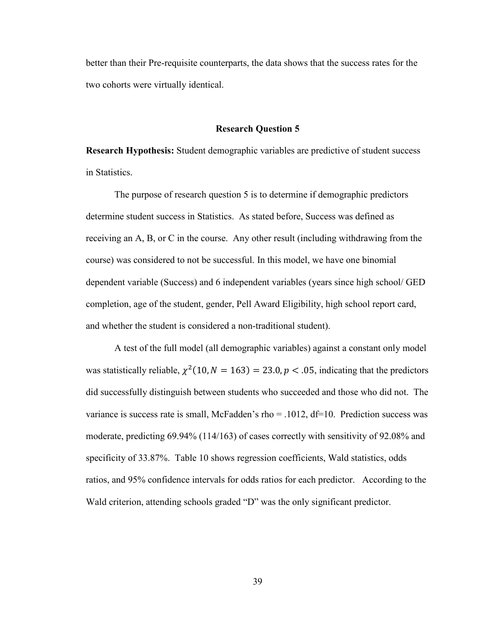better than their Pre-requisite counterparts, the data shows that the success rates for the two cohorts were virtually identical.

#### **Research Question 5**

**Research Hypothesis:** Student demographic variables are predictive of student success in Statistics.

The purpose of research question 5 is to determine if demographic predictors determine student success in Statistics. As stated before, Success was defined as receiving an A, B, or C in the course. Any other result (including withdrawing from the course) was considered to not be successful. In this model, we have one binomial dependent variable (Success) and 6 independent variables (years since high school/ GED completion, age of the student, gender, Pell Award Eligibility, high school report card, and whether the student is considered a non-traditional student).

A test of the full model (all demographic variables) against a constant only model was statistically reliable,  $\chi^2(10, N = 163) = 23.0, p < .05$ , indicating that the predictors did successfully distinguish between students who succeeded and those who did not. The variance is success rate is small, McFadden's rho  $= .1012$ , df=10. Prediction success was moderate, predicting 69.94% (114/163) of cases correctly with sensitivity of 92.08% and specificity of 33.87%. Table 10 shows regression coefficients, Wald statistics, odds ratios, and 95% confidence intervals for odds ratios for each predictor. According to the Wald criterion, attending schools graded "D" was the only significant predictor.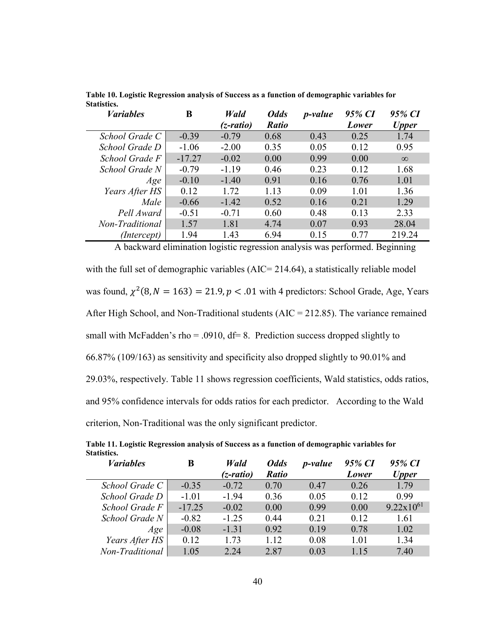| <b><i>Variables</i></b> | B        | Wald      | <b>Odds</b>  | <i>p</i> -value | 95% CI | 95% CI       |
|-------------------------|----------|-----------|--------------|-----------------|--------|--------------|
|                         |          | (z-ratio) | <b>Ratio</b> |                 | Lower  | <b>Upper</b> |
| School Grade C          | $-0.39$  | $-0.79$   | 0.68         | 0.43            | 0.25   | 1.74         |
| School Grade D          | $-1.06$  | $-2.00$   | 0.35         | 0.05            | 0.12   | 0.95         |
| School Grade F          | $-17.27$ | $-0.02$   | 0.00         | 0.99            | 0.00   | $\infty$     |
| School Grade N          | $-0.79$  | $-1.19$   | 0.46         | 0.23            | 0.12   | 1.68         |
| Age                     | $-0.10$  | $-1.40$   | 0.91         | 0.16            | 0.76   | 1.01         |
| Years After HS          | 0.12     | 1.72      | 1.13         | 0.09            | 1.01   | 1.36         |
| Male                    | $-0.66$  | $-1.42$   | 0.52         | 0.16            | 0.21   | 1.29         |
| Pell Award              | $-0.51$  | $-0.71$   | 0.60         | 0.48            | 0.13   | 2.33         |
| Non-Traditional         | 1.57     | 1.81      | 4.74         | 0.07            | 0.93   | 28.04        |
| (Intercept)             | 1.94     | 1.43      | 6.94         | 0.15            | 0.77   | 219.24       |

<span id="page-47-0"></span>**Table 10. Logistic Regression analysis of Success as a function of demographic variables for Statistics.**

A backward elimination logistic regression analysis was performed. Beginning

with the full set of demographic variables (AIC= 214.64), a statistically reliable model was found,  $\chi^2(8, N = 163) = 21.9, p < .01$  with 4 predictors: School Grade, Age, Years After High School, and Non-Traditional students (AIC = 212.85). The variance remained small with McFadden's rho = .0910,  $df = 8$ . Prediction success dropped slightly to 66.87% (109/163) as sensitivity and specificity also dropped slightly to 90.01% and 29.03%, respectively. Table 11 shows regression coefficients, Wald statistics, odds ratios, and 95% confidence intervals for odds ratios for each predictor. According to the Wald criterion, Non-Traditional was the only significant predictor.

| <b><i>Variables</i></b> | B        | Wald<br>(z-ratio) | <b>Odds</b><br><b>Ratio</b> | <i>p</i> -value | 95% CI<br>Lower | 95% CI<br><b>Upper</b> |
|-------------------------|----------|-------------------|-----------------------------|-----------------|-----------------|------------------------|
| School Grade C          | $-0.35$  | $-0.72$           | 0.70                        | 0.47            | 0.26            | 1.79                   |
| School Grade D          | $-1.01$  | $-1.94$           | 0.36                        | 0.05            | 0.12            | 0.99                   |
| School Grade F          | $-17.25$ | $-0.02$           | 0.00                        | 0.99            | 0.00            | $9.22 \times 10^{61}$  |
| School Grade N          | $-0.82$  | $-1.25$           | 0.44                        | 0.21            | 0.12            | 1.61                   |
| Age                     | $-0.08$  | $-1.31$           | 0.92                        | 0.19            | 0.78            | 1.02                   |
| Years After HS          | 0.12     | 1.73              | 1.12                        | 0.08            | 1.01            | 1.34                   |
| Non-Traditional         | 1.05     | 2.24              | 2.87                        | 0.03            | 1.15            | 7.40                   |

<span id="page-47-1"></span>**Table 11. Logistic Regression analysis of Success as a function of demographic variables for Statistics.**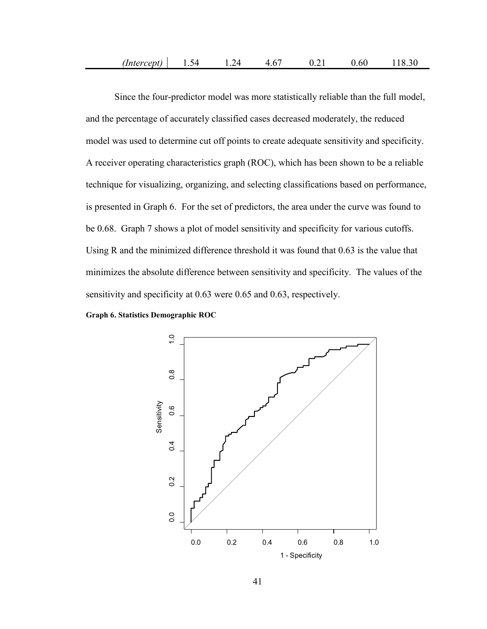Since the four-predictor model was more statistically reliable than the full model, and the percentage of accurately classified cases decreased moderately, the reduced model was used to determine cut off points to create adequate sensitivity and specificity. A receiver operating characteristics graph (ROC), which has been shown to be a reliable technique for visualizing, organizing, and selecting classifications based on performance, is presented in Graph 6. For the set of predictors, the area under the curve was found to be 0.68. Graph 7 shows a plot of model sensitivity and specificity for various cutoffs. Using R and the minimized difference threshold it was found that 0.63 is the value that minimizes the absolute difference between sensitivity and specificity. The values of the sensitivity and specificity at 0.63 were 0.65 and 0.63, respectively.

<span id="page-48-0"></span>**Graph 6. Statistics Demographic ROC**

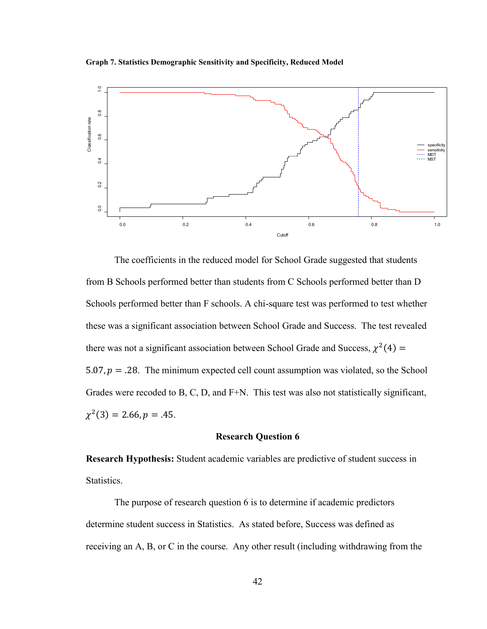<span id="page-49-0"></span>**Graph 7. Statistics Demographic Sensitivity and Specificity, Reduced Model**



The coefficients in the reduced model for School Grade suggested that students from B Schools performed better than students from C Schools performed better than D Schools performed better than F schools. A chi-square test was performed to test whether these was a significant association between School Grade and Success. The test revealed there was not a significant association between School Grade and Success,  $\chi^2(4)$  = 5.07,  $p = 0.28$ . The minimum expected cell count assumption was violated, so the School Grades were recoded to B, C, D, and F+N. This test was also not statistically significant,  $\chi^2(3) = 2.66, p = .45.$ 

#### **Research Question 6**

**Research Hypothesis:** Student academic variables are predictive of student success in Statistics.

The purpose of research question 6 is to determine if academic predictors determine student success in Statistics. As stated before, Success was defined as receiving an A, B, or C in the course. Any other result (including withdrawing from the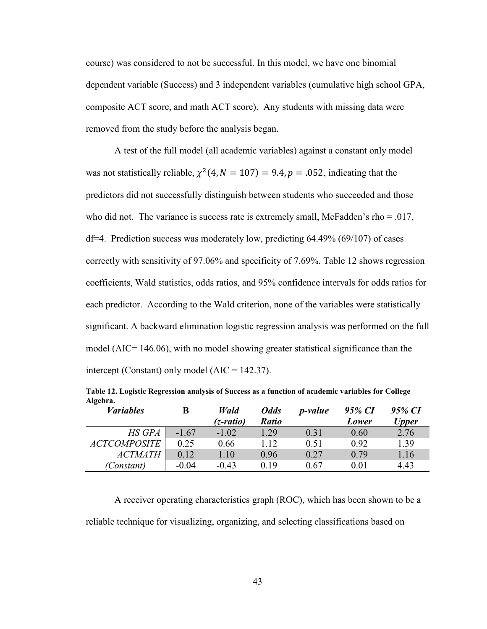course) was considered to not be successful. In this model, we have one binomial dependent variable (Success) and 3 independent variables (cumulative high school GPA, composite ACT score, and math ACT score). Any students with missing data were removed from the study before the analysis began.

A test of the full model (all academic variables) against a constant only model was not statistically reliable,  $\chi^2(4, N = 107) = 9.4, p = .052$ , indicating that the predictors did not successfully distinguish between students who succeeded and those who did not. The variance is success rate is extremely small, McFadden's rho  $= .017$ , df=4. Prediction success was moderately low, predicting 64.49% (69/107) of cases correctly with sensitivity of 97.06% and specificity of 7.69%. Table 12 shows regression coefficients, Wald statistics, odds ratios, and 95% confidence intervals for odds ratios for each predictor. According to the Wald criterion, none of the variables were statistically significant. A backward elimination logistic regression analysis was performed on the full model (AIC= 146.06), with no model showing greater statistical significance than the intercept (Constant) only model  $(AIC = 142.37)$ .

<span id="page-50-0"></span>**Table 12. Logistic Regression analysis of Success as a function of academic variables for College Algebra.**

| <i>Variables</i>    | B       | Wald      | <b>Odds</b>  | <i>p</i> -value | 95% CI | 95% CI       |
|---------------------|---------|-----------|--------------|-----------------|--------|--------------|
|                     |         | (z-ratio) | <b>Ratio</b> |                 | Lower  | <b>Upper</b> |
| HS GPA              | $-1.67$ | $-1.02$   | 1.29         | 0.31            | 0.60   | 2.76         |
| <b>ACTCOMPOSITE</b> | 0.25    | 0.66      | 1.12         | 0.51            | 0.92   | 1.39         |
| <i>ACTMATH</i>      | 0.12    | 1.10      | 0.96         | 0.27            | 0.79   | 1.16         |
| (Constant)          | $-0.04$ | $-0.43$   | 0.19         | 0.67            | 0.01   | 4.43         |

A receiver operating characteristics graph (ROC), which has been shown to be a reliable technique for visualizing, organizing, and selecting classifications based on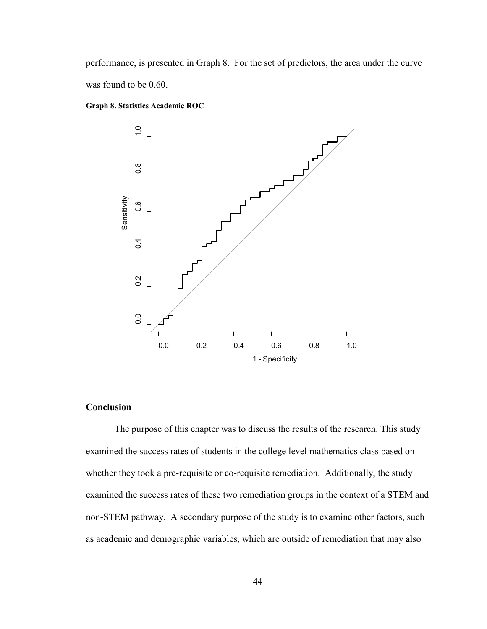performance, is presented in Graph 8. For the set of predictors, the area under the curve was found to be 0.60.

<span id="page-51-0"></span>**Graph 8. Statistics Academic ROC**



# **Conclusion**

The purpose of this chapter was to discuss the results of the research. This study examined the success rates of students in the college level mathematics class based on whether they took a pre-requisite or co-requisite remediation. Additionally, the study examined the success rates of these two remediation groups in the context of a STEM and non-STEM pathway. A secondary purpose of the study is to examine other factors, such as academic and demographic variables, which are outside of remediation that may also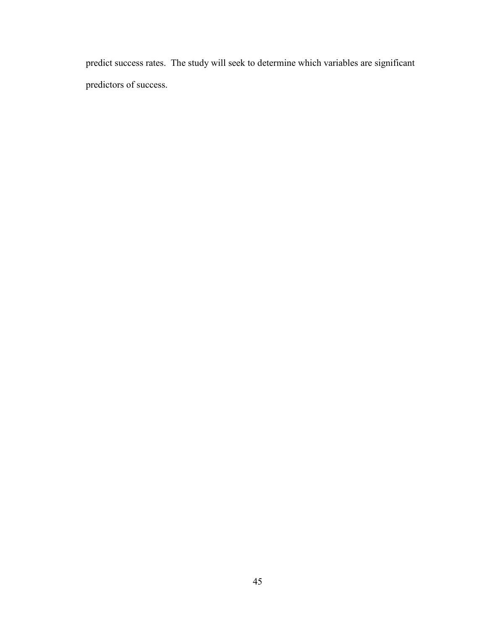predict success rates. The study will seek to determine which variables are significant predictors of success.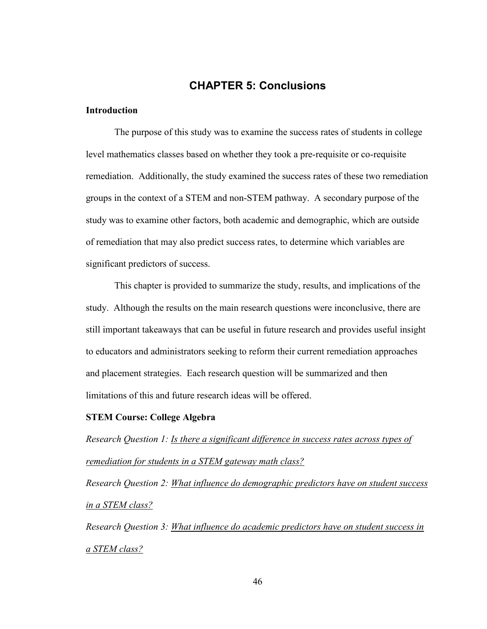# **CHAPTER 5: Conclusions**

## <span id="page-53-0"></span>**Introduction**

The purpose of this study was to examine the success rates of students in college level mathematics classes based on whether they took a pre-requisite or co-requisite remediation. Additionally, the study examined the success rates of these two remediation groups in the context of a STEM and non-STEM pathway. A secondary purpose of the study was to examine other factors, both academic and demographic, which are outside of remediation that may also predict success rates, to determine which variables are significant predictors of success.

This chapter is provided to summarize the study, results, and implications of the study. Although the results on the main research questions were inconclusive, there are still important takeaways that can be useful in future research and provides useful insight to educators and administrators seeking to reform their current remediation approaches and placement strategies. Each research question will be summarized and then limitations of this and future research ideas will be offered.

#### **STEM Course: College Algebra**

*Research Question 1: Is there a significant difference in success rates across types of remediation for students in a STEM gateway math class?*

*Research Question 2: What influence do demographic predictors have on student success in a STEM class?*

*Research Question 3: What influence do academic predictors have on student success in a STEM class?*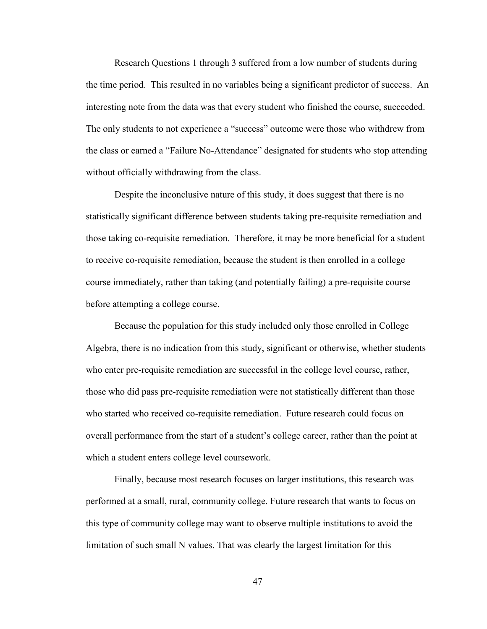Research Questions 1 through 3 suffered from a low number of students during the time period. This resulted in no variables being a significant predictor of success. An interesting note from the data was that every student who finished the course, succeeded. The only students to not experience a "success" outcome were those who withdrew from the class or earned a "Failure No-Attendance" designated for students who stop attending without officially withdrawing from the class.

Despite the inconclusive nature of this study, it does suggest that there is no statistically significant difference between students taking pre-requisite remediation and those taking co-requisite remediation. Therefore, it may be more beneficial for a student to receive co-requisite remediation, because the student is then enrolled in a college course immediately, rather than taking (and potentially failing) a pre-requisite course before attempting a college course.

Because the population for this study included only those enrolled in College Algebra, there is no indication from this study, significant or otherwise, whether students who enter pre-requisite remediation are successful in the college level course, rather, those who did pass pre-requisite remediation were not statistically different than those who started who received co-requisite remediation. Future research could focus on overall performance from the start of a student's college career, rather than the point at which a student enters college level coursework.

Finally, because most research focuses on larger institutions, this research was performed at a small, rural, community college. Future research that wants to focus on this type of community college may want to observe multiple institutions to avoid the limitation of such small N values. That was clearly the largest limitation for this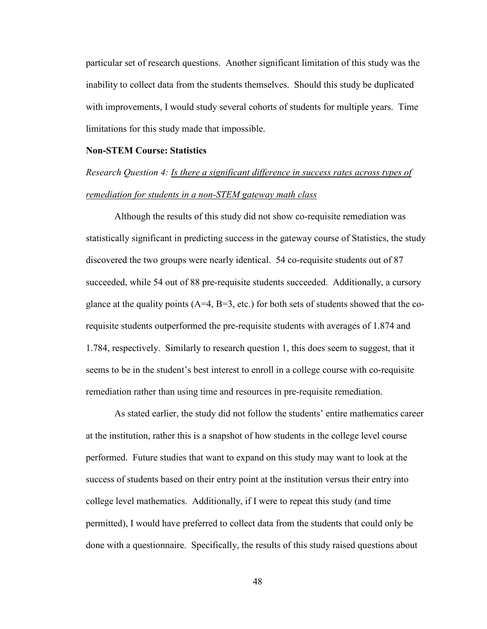particular set of research questions. Another significant limitation of this study was the inability to collect data from the students themselves. Should this study be duplicated with improvements, I would study several cohorts of students for multiple years. Time limitations for this study made that impossible.

## **Non-STEM Course: Statistics**

# *Research Question 4: Is there a significant difference in success rates across types of remediation for students in a non-STEM gateway math class*

Although the results of this study did not show co-requisite remediation was statistically significant in predicting success in the gateway course of Statistics, the study discovered the two groups were nearly identical. 54 co-requisite students out of 87 succeeded, while 54 out of 88 pre-requisite students succeeded. Additionally, a cursory glance at the quality points  $(A=4, B=3, etc.)$  for both sets of students showed that the corequisite students outperformed the pre-requisite students with averages of 1.874 and 1.784, respectively. Similarly to research question 1, this does seem to suggest, that it seems to be in the student's best interest to enroll in a college course with co-requisite remediation rather than using time and resources in pre-requisite remediation.

As stated earlier, the study did not follow the students' entire mathematics career at the institution, rather this is a snapshot of how students in the college level course performed. Future studies that want to expand on this study may want to look at the success of students based on their entry point at the institution versus their entry into college level mathematics. Additionally, if I were to repeat this study (and time permitted), I would have preferred to collect data from the students that could only be done with a questionnaire. Specifically, the results of this study raised questions about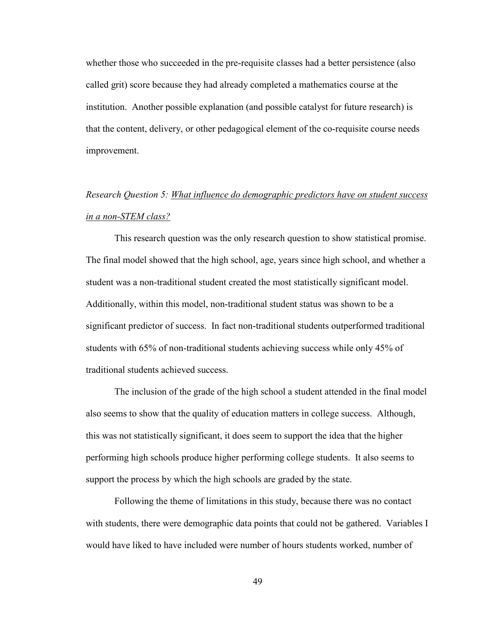whether those who succeeded in the pre-requisite classes had a better persistence (also called grit) score because they had already completed a mathematics course at the institution. Another possible explanation (and possible catalyst for future research) is that the content, delivery, or other pedagogical element of the co-requisite course needs improvement.

# *Research Question 5: What influence do demographic predictors have on student success in a non-STEM class?*

This research question was the only research question to show statistical promise. The final model showed that the high school, age, years since high school, and whether a student was a non-traditional student created the most statistically significant model. Additionally, within this model, non-traditional student status was shown to be a significant predictor of success. In fact non-traditional students outperformed traditional students with 65% of non-traditional students achieving success while only 45% of traditional students achieved success.

The inclusion of the grade of the high school a student attended in the final model also seems to show that the quality of education matters in college success. Although, this was not statistically significant, it does seem to support the idea that the higher performing high schools produce higher performing college students. It also seems to support the process by which the high schools are graded by the state.

Following the theme of limitations in this study, because there was no contact with students, there were demographic data points that could not be gathered. Variables I would have liked to have included were number of hours students worked, number of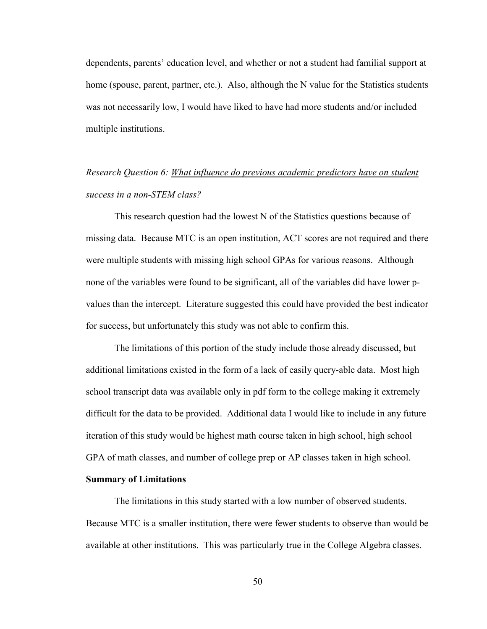dependents, parents' education level, and whether or not a student had familial support at home (spouse, parent, partner, etc.). Also, although the N value for the Statistics students was not necessarily low, I would have liked to have had more students and/or included multiple institutions.

# *Research Question 6: What influence do previous academic predictors have on student success in a non-STEM class?*

This research question had the lowest N of the Statistics questions because of missing data. Because MTC is an open institution, ACT scores are not required and there were multiple students with missing high school GPAs for various reasons. Although none of the variables were found to be significant, all of the variables did have lower pvalues than the intercept. Literature suggested this could have provided the best indicator for success, but unfortunately this study was not able to confirm this.

The limitations of this portion of the study include those already discussed, but additional limitations existed in the form of a lack of easily query-able data. Most high school transcript data was available only in pdf form to the college making it extremely difficult for the data to be provided. Additional data I would like to include in any future iteration of this study would be highest math course taken in high school, high school GPA of math classes, and number of college prep or AP classes taken in high school.

#### **Summary of Limitations**

The limitations in this study started with a low number of observed students. Because MTC is a smaller institution, there were fewer students to observe than would be available at other institutions. This was particularly true in the College Algebra classes.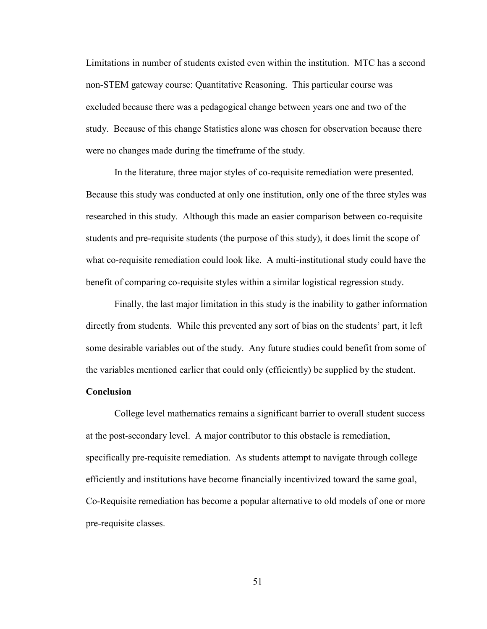Limitations in number of students existed even within the institution. MTC has a second non-STEM gateway course: Quantitative Reasoning. This particular course was excluded because there was a pedagogical change between years one and two of the study. Because of this change Statistics alone was chosen for observation because there were no changes made during the timeframe of the study.

In the literature, three major styles of co-requisite remediation were presented. Because this study was conducted at only one institution, only one of the three styles was researched in this study. Although this made an easier comparison between co-requisite students and pre-requisite students (the purpose of this study), it does limit the scope of what co-requisite remediation could look like. A multi-institutional study could have the benefit of comparing co-requisite styles within a similar logistical regression study.

Finally, the last major limitation in this study is the inability to gather information directly from students. While this prevented any sort of bias on the students' part, it left some desirable variables out of the study. Any future studies could benefit from some of the variables mentioned earlier that could only (efficiently) be supplied by the student.

## **Conclusion**

College level mathematics remains a significant barrier to overall student success at the post-secondary level. A major contributor to this obstacle is remediation, specifically pre-requisite remediation. As students attempt to navigate through college efficiently and institutions have become financially incentivized toward the same goal, Co-Requisite remediation has become a popular alternative to old models of one or more pre-requisite classes.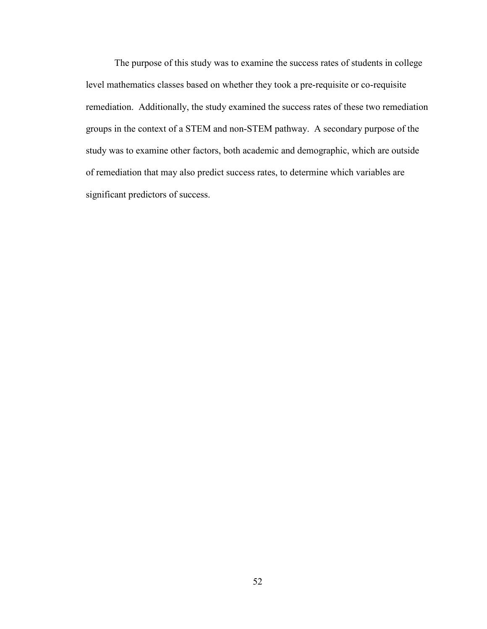The purpose of this study was to examine the success rates of students in college level mathematics classes based on whether they took a pre-requisite or co-requisite remediation. Additionally, the study examined the success rates of these two remediation groups in the context of a STEM and non-STEM pathway. A secondary purpose of the study was to examine other factors, both academic and demographic, which are outside of remediation that may also predict success rates, to determine which variables are significant predictors of success.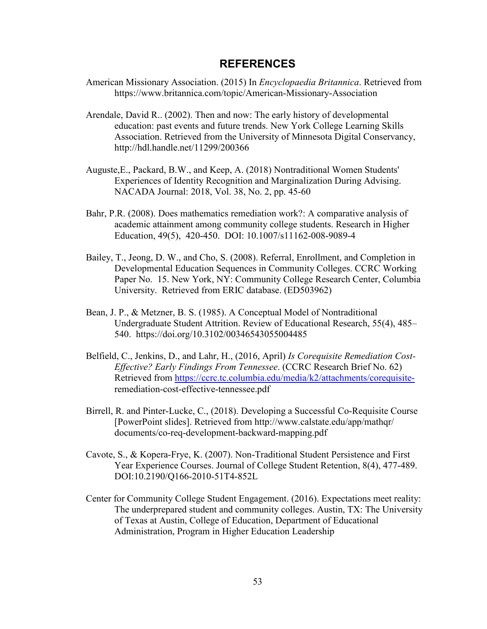# **REFERENCES**

- American Missionary Association. (2015) In *Encyclopaedia Britannica*. Retrieved from https://www.britannica.com/topic/American-Missionary-Association
- Arendale, David R.. (2002). Then and now: The early history of developmental education: past events and future trends. New York College Learning Skills Association. Retrieved from the University of Minnesota Digital Conservancy, http://hdl.handle.net/11299/200366
- Auguste,E., Packard, B.W., and Keep, A. (2018) Nontraditional Women Students' Experiences of Identity Recognition and Marginalization During Advising. NACADA Journal: 2018, Vol. 38, No. 2, pp. 45-60
- Bahr, P.R. (2008). Does mathematics remediation work?: A comparative analysis of academic attainment among community college students. Research in Higher Education, 49(5), 420-450. DOI: 10.1007/s11162-008-9089-4
- Bailey, T., Jeong, D. W., and Cho, S. (2008). Referral, Enrollment, and Completion in Developmental Education Sequences in Community Colleges. CCRC Working Paper No. 15. New York, NY: Community College Research Center, Columbia University. Retrieved from ERIC database. (ED503962)
- Bean, J. P., & Metzner, B. S. (1985). A Conceptual Model of Nontraditional Undergraduate Student Attrition. Review of Educational Research, 55(4), 485– 540. https://doi.org/10.3102/00346543055004485
- Belfield, C., Jenkins, D., and Lahr, H., (2016, April) *Is Corequisite Remediation Cost-Effective? Early Findings From Tennessee*. (CCRC Research Brief No. 62) Retrieved from [https://ccrc.tc.columbia.edu/media/k2/attachments/corequisite](https://ccrc.tc.columbia.edu/media/k2/attachments/corequisite-)remediation-cost-effective-tennessee.pdf
- Birrell, R. and Pinter-Lucke, C., (2018). Developing a Successful Co-Requisite Course [PowerPoint slides]. Retrieved from http://www.calstate.edu/app/mathqr/ documents/co-req-development-backward-mapping.pdf
- Cavote, S., & Kopera-Frye, K. (2007). Non-Traditional Student Persistence and First Year Experience Courses. Journal of College Student Retention, 8(4), 477-489. DOI:10.2190/Q166-2010-51T4-852L
- Center for Community College Student Engagement. (2016). Expectations meet reality: The underprepared student and community colleges. Austin, TX: The University of Texas at Austin, College of Education, Department of Educational Administration, Program in Higher Education Leadership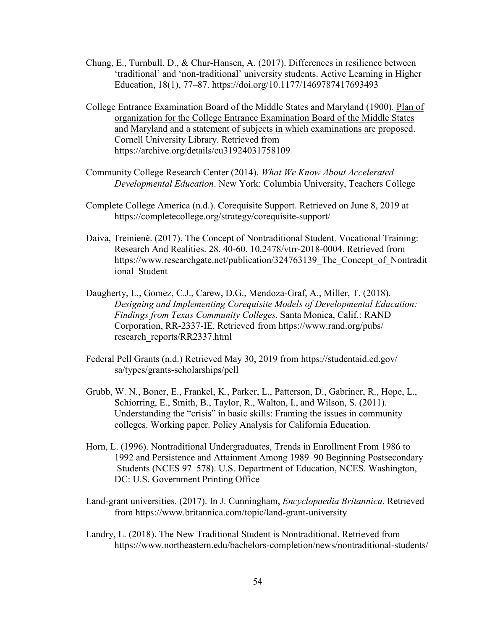- Chung, E., Turnbull, D., & Chur-Hansen, A. (2017). Differences in resilience between 'traditional' and 'non-traditional' university students. Active Learning in Higher Education, 18(1), 77–87. https://doi.org/10.1177/1469787417693493
- College Entrance Examination Board of the Middle States and Maryland (1900). Plan of organization for the College Entrance Examination Board of the Middle States and Maryland and a statement of subjects in which examinations are proposed. Cornell University Library. Retrieved from https://archive.org/details/cu31924031758109
- Community College Research Center (2014). *What We Know About Accelerated Developmental Education*. New York: Columbia University, Teachers College
- Complete College America (n.d.). Corequisite Support. Retrieved on June 8, 2019 at https://completecollege.org/strategy/corequisite-support/
- Daiva, Treinienė. (2017). The Concept of Nontraditional Student. Vocational Training: Research And Realities. 28. 40-60. 10.2478/vtrr-2018-0004. Retrieved from https://www.researchgate.net/publication/324763139\_The\_Concept\_of\_Nontradit ional\_Student
- Daugherty, L., Gomez, C.J., Carew, D.G., Mendoza-Graf, A., Miller, T. (2018). *Designing and Implementing Corequisite Models of Developmental Education: Findings from Texas Community Colleges.* Santa Monica, Calif.: RAND Corporation, RR-2337-IE. Retrieved from https://www.rand.org/pubs/ research\_reports/RR2337.html
- Federal Pell Grants (n.d.) Retrieved May 30, 2019 from https://studentaid.ed.gov/ sa/types/grants-scholarships/pell
- Grubb, W. N., Boner, E., Frankel, K., Parker, L., Patterson, D., Gabriner, R., Hope, L., Schiorring, E., Smith, B., Taylor, R., Walton, I., and Wilson, S. (2011). Understanding the "crisis" in basic skills: Framing the issues in community colleges. Working paper. Policy Analysis for California Education.
- Horn, L. (1996). Nontraditional Undergraduates, Trends in Enrollment From 1986 to 1992 and Persistence and Attainment Among 1989–90 Beginning Postsecondary Students (NCES 97–578). U.S. Department of Education, NCES. Washington, DC: U.S. Government Printing Office
- Land-grant universities. (2017). In J. Cunningham, *Encyclopaedia Britannica*. Retrieved from https://www.britannica.com/topic/land-grant-university
- Landry, L. (2018). The New Traditional Student is Nontraditional. Retrieved from https://www.northeastern.edu/bachelors-completion/news/nontraditional-students/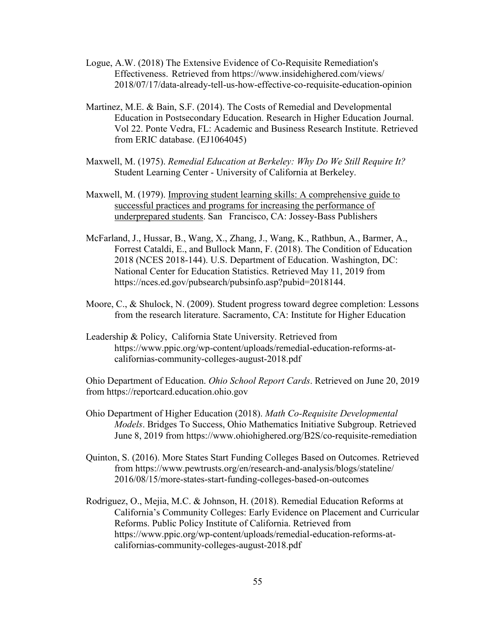- Logue, A.W. (2018) The Extensive Evidence of Co-Requisite Remediation's Effectiveness. Retrieved from https://www.insidehighered.com/views/ 2018/07/17/data-already-tell-us-how-effective-co-requisite-education-opinion
- Martinez, M.E. & Bain, S.F. (2014). The Costs of Remedial and Developmental Education in Postsecondary Education. Research in Higher Education Journal. Vol 22. Ponte Vedra, FL: Academic and Business Research Institute. Retrieved from ERIC database. (EJ1064045)
- Maxwell, M. (1975). *Remedial Education at Berkeley: Why Do We Still Require It?* Student Learning Center - University of California at Berkeley.
- Maxwell, M. (1979). Improving student learning skills: A comprehensive guide to successful practices and programs for increasing the performance of underprepared students. San Francisco, CA: Jossey-Bass Publishers
- McFarland, J., Hussar, B., Wang, X., Zhang, J., Wang, K., Rathbun, A., Barmer, A., Forrest Cataldi, E., and Bullock Mann, F. (2018). The Condition of Education 2018 (NCES 2018-144). U.S. Department of Education. Washington, DC: National Center for Education Statistics. Retrieved May 11, 2019 from https://nces.ed.gov/pubsearch/pubsinfo.asp?pubid=2018144.
- Moore, C., & Shulock, N. (2009). Student progress toward degree completion: Lessons from the research literature. Sacramento, CA: Institute for Higher Education
- Leadership & Policy, California State University. Retrieved from https://www.ppic.org/wp-content/uploads/remedial-education-reforms-atcalifornias-community-colleges-august-2018.pdf

Ohio Department of Education. *Ohio School Report Cards*. Retrieved on June 20, 2019 from https://reportcard.education.ohio.gov

- Ohio Department of Higher Education (2018). *Math Co-Requisite Developmental Models*. Bridges To Success, Ohio Mathematics Initiative Subgroup. Retrieved June 8, 2019 from https://www.ohiohighered.org/B2S/co-requisite-remediation
- Quinton, S. (2016). More States Start Funding Colleges Based on Outcomes. Retrieved from https://www.pewtrusts.org/en/research-and-analysis/blogs/stateline/ 2016/08/15/more-states-start-funding-colleges-based-on-outcomes
- Rodriguez, O., Mejia, M.C. & Johnson, H. (2018). Remedial Education Reforms at California's Community Colleges: Early Evidence on Placement and Curricular Reforms. Public Policy Institute of California. Retrieved from https://www.ppic.org/wp-content/uploads/remedial-education-reforms-atcalifornias-community-colleges-august-2018.pdf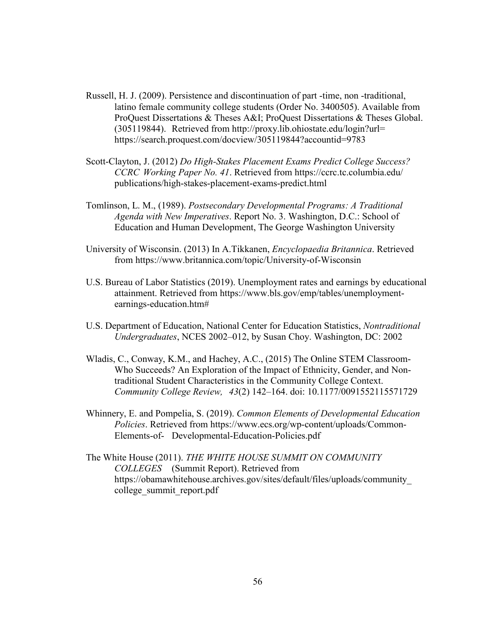- Russell, H. J. (2009). Persistence and discontinuation of part -time, non -traditional, latino female community college students (Order No. 3400505). Available from ProQuest Dissertations & Theses A&I; ProQuest Dissertations & Theses Global. (305119844). Retrieved from http://proxy.lib.ohiostate.edu/login?url= https://search.proquest.com/docview/305119844?accountid=9783
- Scott-Clayton, J. (2012) *Do High-Stakes Placement Exams Predict College Success? CCRC Working Paper No. 41*. Retrieved from https://ccrc.tc.columbia.edu/ publications/high-stakes-placement-exams-predict.html
- Tomlinson, L. M., (1989). *Postsecondary Developmental Programs: A Traditional Agenda with New Imperatives*. Report No. 3. Washington, D.C.: School of Education and Human Development, The George Washington University
- University of Wisconsin. (2013) In A.Tikkanen, *Encyclopaedia Britannica*. Retrieved from https://www.britannica.com/topic/University-of-Wisconsin
- U.S. Bureau of Labor Statistics (2019). Unemployment rates and earnings by educational attainment. Retrieved from https://www.bls.gov/emp/tables/unemploymentearnings-education.htm#
- U.S. Department of Education, National Center for Education Statistics, *Nontraditional Undergraduates*, NCES 2002–012, by Susan Choy. Washington, DC: 2002
- Wladis, C., Conway, K.M., and Hachey, A.C., (2015) The Online STEM Classroom-Who Succeeds? An Exploration of the Impact of Ethnicity, Gender, and Nontraditional Student Characteristics in the Community College Context. *Community College Review, 43*(2) 142–164. doi: 10.1177/0091552115571729
- Whinnery, E. and Pompelia, S. (2019). *Common Elements of Developmental Education Policies*. Retrieved from https://www.ecs.org/wp-content/uploads/Common-Elements-of- Developmental-Education-Policies.pdf
- The White House (2011). *THE WHITE HOUSE SUMMIT ON COMMUNITY COLLEGES* (Summit Report). Retrieved from https://obamawhitehouse.archives.gov/sites/default/files/uploads/community\_ college\_summit\_report.pdf